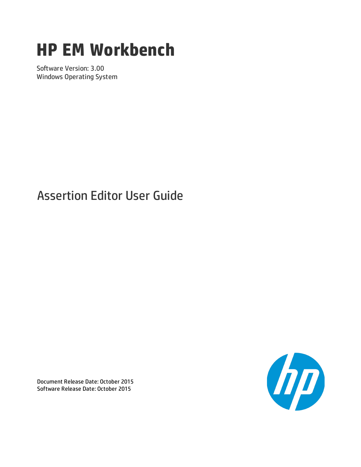# **HP EM Workbench**

Software Version: 3.00 Windows Operating System

# Assertion Editor User Guide



Document Release Date: October 2015 Software Release Date: October 2015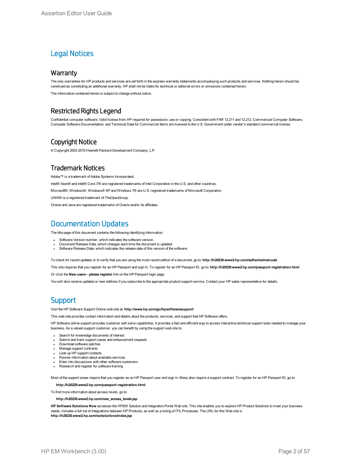### Legal Notices

#### **Warranty**

The only warranties for HP products and services are set forth in the express warranty statements accompanying such products and services. Nothing herein should be construed as constituting an additional warranty. HP shall not be liable for technical or editorial errors or omissions contained herein.

The information contained herein is subject to change without notice.

### Restricted Rights Legend

Confidential computer software. Valid license from HP required for possession, use or copying. Consistent with FAR 12.211 and 12.212, Commercial Computer Software, Computer Software Documentation, and Technical Data for Commercial Items are licensed to the U.S. Government under vendor's standard commercial license.

### Copyright Notice

© Copyright 2003-2015 Hewlett-Packard Development Company, L.P.

### Trademark Notices

Adobe™ is a trademark of Adobe Systems Incorporated. Intel® Xeon® and Intel® Core i7® are registered trademarks of Intel Corporation in the U.S. and other countries. Microsoft®, Windows®, Windows® XP and Windows 7® are U.S. registered trademarks of Microsoft Corporation. UNIX® is a registered trademark of TheOpenGroup. Oracle and Java are registered trademarks of Oracle and/or its affiliates.

### Documentation Updates

The title page of this document contains the following identifying information:

- Software Version number, which indicates the software version.
- Document Release Date, which changes each time the document is updated.
- Software Release Date, which indicates the release date of this version of the software.

To check for recent updates or to verify that you are using the most recent edition of a document, go to: **http://h20230.www2.hp.com/selfsolve/manuals**

This site requires that you register for an HP Passport and sign in. To register for an HP Passport ID, go to: **http://h20229.www2.hp.com/passport-registration.html**

Or click the **New users - please register** link on the HP Passport login page.

You will also receive updated or new editions if you subscribe to the appropriate product support service. Contact your HP sales representative for details.

### **Support**

#### Visit the HP Software Support Online web site at: **http://www.hp.com/go/hpsoftwaresupport**

This web site provides contact information and details about the products, services, and support that HP Software offers.

HP Software online support provides customer self-solve capabilities. It provides a fast and efficient way to access interactive technical support tools needed to manage your business. As a valued support customer, you can benefit by using the support web site to:

- Search for knowledge documents of interest
- Submit and track support cases and enhancement requests
- Download software patches
- Manage support contracts
- Look up HP support contacts
- Review information about available services
- Enter into discussions with other software customers • Research and register for software training
- 

Most of the support areas require that you register as an HP Passport user and sign in. Many also require a support contract. To register for an HP Passport ID, go to:

**http://h20229.www2.hp.com/passport-registration.html**

To find more information about access levels, go to:

**http://h20230.www2.hp.com/new\_access\_levels.jsp**

**HP Software Solutions Now** accesses the HPSW Solution and Integration Portal Web site. This site enables you to explore HP Product Solutions to meet your business needs, includes a full list of Integrations between HP Products, as well as a listing of ITIL Processes. The URL for this Web site is **http://h20230.www2.hp.com/sc/solutions/index.jsp**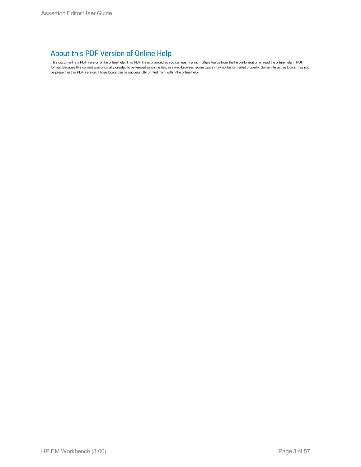### About this PDF Version of Online Help

This document is a PDF version of the online help. This PDF file is provided so you can easily print multiple topics from the help information or read the online help in PDF format. Because this content was originally created to be viewed as online help in a web browser, some topics may not be formatted properly. Some interactive topics may not be present in this PDF version. Those topics can be successfully printed from within the online help.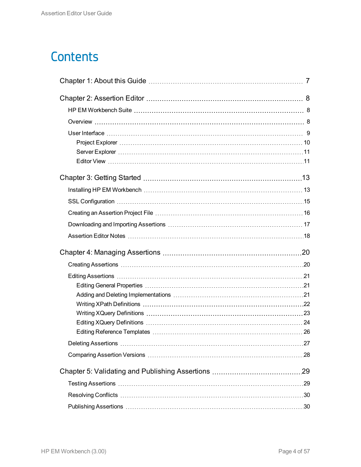# **Contents**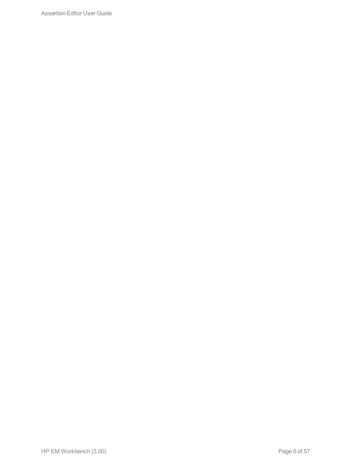Assertion Editor User Guide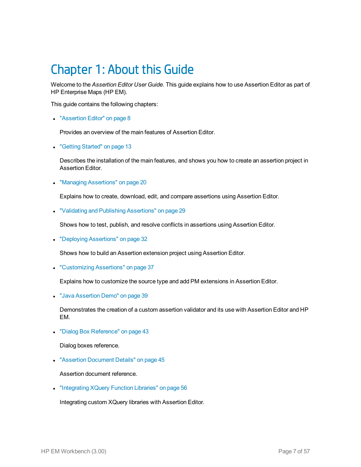# <span id="page-6-0"></span>Chapter 1: About this Guide

Welcome to the *Assertion Editor User Guide*. This guide explains how to use Assertion Editor as part of HP Enterprise Maps (HP EM).

This guide contains the following chapters:

• ["Assertion](#page-7-0) Editor" on page 8

Provides an overview of the main features of Assertion Editor.

• ["Getting](#page-12-0) Started" on page 13

Describes the installation of the main features, and shows you how to create an assertion project in Assertion Editor.

• "Managing [Assertions"](#page-19-0) on page 20

Explains how to create, download, edit, and compare assertions using Assertion Editor.

**.** "Validating and Publishing [Assertions"](#page-28-0) on page 29

Shows how to test, publish, and resolve conflicts in assertions using Assertion Editor.

• "Deploying [Assertions"](#page-31-0) on page 32

Shows how to build an Assertion extension project using Assertion Editor.

**.** ["Customizing](#page-36-0) Assertions" on page 37

Explains how to customize the source type and add PM extensions in Assertion Editor.

**.** "Java [Assertion](#page-38-0) Demo" on page 39

Demonstrates the creation of a custom assertion validator and its use with Assertion Editor and HP EM.

• "Dialog Box [Reference"](#page-42-0) on page 43

Dialog boxes reference.

**.** ["Assertion](#page-44-0) Document Details" on page 45

Assertion document reference.

• ["Integrating](#page-55-0) XQuery Function Libraries" on page 56

Integrating custom XQuery libraries with Assertion Editor.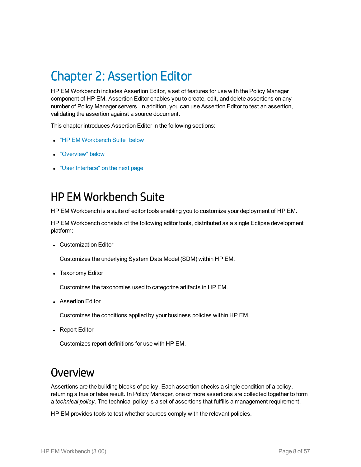# <span id="page-7-0"></span>Chapter 2: Assertion Editor

HP EM Workbench includes Assertion Editor, a set of features for use with the Policy Manager component of HP EM. Assertion Editor enables you to create, edit, and delete assertions on any number of Policy Manager servers. In addition, you can use Assertion Editor to test an assertion, validating the assertion against a source document.

This chapter introduces Assertion Editor in the following sections:

- "HP EM [Workbench](#page-7-1) Suite" below
- ["Overview"](#page-7-2) below
- <span id="page-7-1"></span>• "User [Interface"](#page-8-0) on the next page

## HP EM Workbench Suite

HP EM Workbench is a suite of editor tools enabling you to customize your deployment of HP EM.

HP EM Workbench consists of the following editor tools, distributed as a single Eclipse development platform:

**Customization Editor** 

Customizes the underlying System Data Model (SDM) within HP EM.

• Taxonomy Editor

Customizes the taxonomies used to categorize artifacts in HP EM.

• Assertion Editor

Customizes the conditions applied by your business policies within HP EM.

• Report Editor

<span id="page-7-2"></span>Customizes report definitions for use with HP EM.

### **Overview**

Assertions are the building blocks of policy. Each assertion checks a single condition of a policy, returning a true or false result. In Policy Manager, one or more assertions are collected together to form a *technical policy*. The technical policy is a set of assertions that fulfills a management requirement.

HP EM provides tools to test whether sources comply with the relevant policies.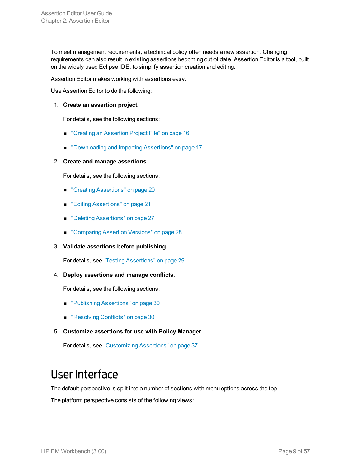To meet management requirements, a technical policy often needs a new assertion. Changing requirements can also result in existing assertions becoming out of date. Assertion Editor is a tool, built on the widely used Eclipse IDE, to simplify assertion creation and editing.

Assertion Editor makes working with assertions easy.

Use Assertion Editor to do the following:

#### 1. **Create an assertion project.**

For details, see the following sections:

- "Creating an [Assertion](#page-15-0) Project File" on page 16
- ["Downloading](#page-16-0) and Importing Assertions" on page 17

#### 2. **Create and manage assertions.**

For details, see the following sections:

- "Creating [Assertions"](#page-19-1) on page 20
- "Editing [Assertions"](#page-20-0) on page 21
- "Deleting [Assertions"](#page-26-0) on page 27
- ["Comparing](#page-27-0) Assertion Versions" on page 28
- 3. **Validate assertions before publishing.**

For details, see "Testing [Assertions"](#page-28-1) on page 29.

4. **Deploy assertions and manage conflicts.**

For details, see the following sections:

- "Publishing [Assertions"](#page-29-1) on page 30
- ["Resolving](#page-29-0) Conflicts" on page 30
- 5. **Customize assertions for use with Policy Manager.**

For details, see ["Customizing](#page-36-0) Assertions" on page 37.

### <span id="page-8-0"></span>User Interface

The default perspective is split into a number of sections with menu options across the top.

The platform perspective consists of the following views: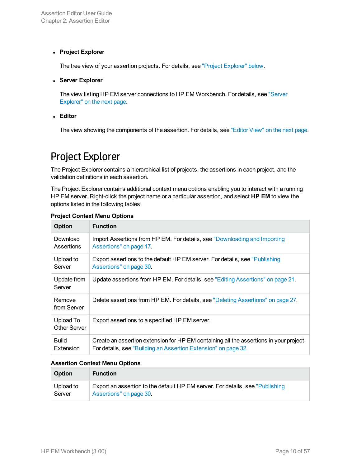#### <sup>l</sup> **Project Explorer**

The tree view of your assertion projects. For details, see "Project [Explorer"](#page-9-0) below.

#### <sup>l</sup> **Server Explorer**

The view listing HP EM server connections to HP EM Workbench. For details, see ["Server](#page-10-0) [Explorer"](#page-10-0) on the next page.

<sup>l</sup> **Editor**

The view showing the components of the assertion. For details, see ["Editor](#page-10-1) View" on the next page.

### <span id="page-9-0"></span>Project Explorer

The Project Explorer contains a hierarchical list of projects, the assertions in each project, and the validation definitions in each assertion.

The Project Explorer contains additional context menu options enabling you to interact with a running HP EM server. Right-click the project name or a particular assertion, and select **HP EM** to view the options listed in the following tables:

#### **Project Context Menu Options**

| Option                    | <b>Function</b>                                                                                                                                          |
|---------------------------|----------------------------------------------------------------------------------------------------------------------------------------------------------|
| Download<br>Assertions    | Import Assertions from HP EM. For details, see "Downloading and Importing<br>Assertions" on page 17.                                                     |
| Upload to<br>Server       | Export assertions to the default HP EM server. For details, see "Publishing"<br>Assertions" on page 30.                                                  |
| Update from<br>Server     | Update assertions from HP EM. For details, see "Editing Assertions" on page 21.                                                                          |
| Remove<br>from Server     | Delete assertions from HP EM. For details, see "Deleting Assertions" on page 27.                                                                         |
| Upload To<br>Other Server | Export assertions to a specified HP EM server.                                                                                                           |
| Build<br>Extension        | Create an assertion extension for HP EM containing all the assertions in your project.<br>For details, see "Building an Assertion Extension" on page 32. |

#### **Assertion Context Menu Options**

| <b>Option</b> | <b>Function</b>                                                                |
|---------------|--------------------------------------------------------------------------------|
| Upload to     | Export an assertion to the default HP EM server. For details, see "Publishing" |
| Server        | Assertions" on page 30.                                                        |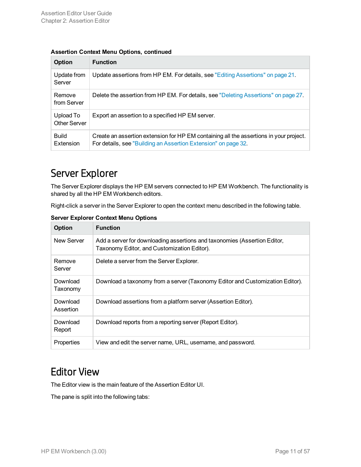| <b>Option</b>             | <b>Function</b>                                                                                                                                          |
|---------------------------|----------------------------------------------------------------------------------------------------------------------------------------------------------|
| Update from<br>Server     | Update assertions from HP EM. For details, see "Editing Assertions" on page 21.                                                                          |
| Remove<br>from Server     | Delete the assertion from HP EM. For details, see "Deleting Assertions" on page 27.                                                                      |
| Upload To<br>Other Server | Export an assertion to a specified HP EM server.                                                                                                         |
| <b>Build</b><br>Extension | Create an assertion extension for HP EM containing all the assertions in your project.<br>For details, see "Building an Assertion Extension" on page 32. |

#### **Assertion Context Menu Options, continued**

### <span id="page-10-0"></span>Server Explorer

The Server Explorer displays the HP EM servers connected to HP EM Workbench. The functionality is shared by all the HP EM Workbench editors.

Right-click a server in the Server Explorer to open the context menu described in the following table.

| <b>Option</b>         | <b>Function</b>                                                                                                          |
|-----------------------|--------------------------------------------------------------------------------------------------------------------------|
| New Server            | Add a server for downloading assertions and taxonomies (Assertion Editor,<br>Taxonomy Editor, and Customization Editor). |
| Remove<br>Server      | Delete a server from the Server Explorer.                                                                                |
| Download<br>Taxonomy  | Download a taxonomy from a server (Taxonomy Editor and Customization Editor).                                            |
| Download<br>Assertion | Download assertions from a platform server (Assertion Editor).                                                           |
| Download<br>Report    | Download reports from a reporting server (Report Editor).                                                                |
| Properties            | View and edit the server name, URL, username, and password.                                                              |

**Server Explorer Context Menu Options**

### <span id="page-10-1"></span>Editor View

The Editor view is the main feature of the Assertion Editor UI.

The pane is split into the following tabs: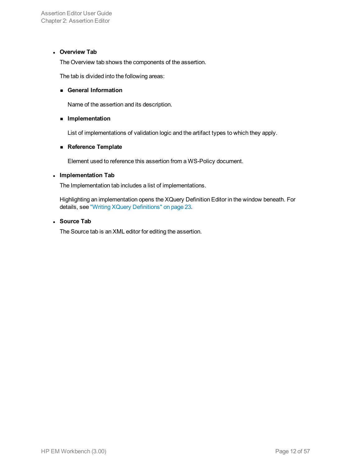#### <sup>l</sup> **Overview Tab**

The Overview tab shows the components of the assertion.

The tab is divided into the following areas:

#### <sup>n</sup> **General Information**

Name of the assertion and its description.

#### <sup>n</sup> **Implementation**

List of implementations of validation logic and the artifact types to which they apply.

#### <sup>n</sup> **Reference Template**

Element used to reference this assertion from a WS-Policy document.

#### <sup>l</sup> **Implementation Tab**

The Implementation tab includes a list of implementations.

Highlighting an implementation opens the XQuery Definition Editor in the window beneath. For details, see "Writing XQuery [Definitions"](#page-22-0) on page 23.

#### <sup>l</sup> **Source Tab**

The Source tab is an XML editor for editing the assertion.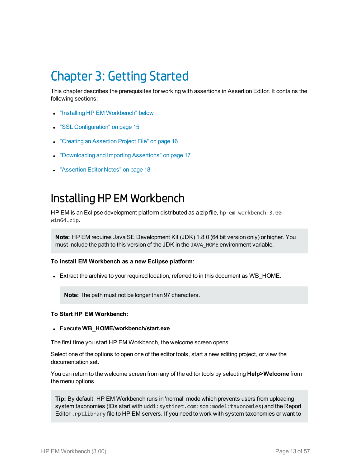# <span id="page-12-0"></span>Chapter 3: Getting Started

This chapter describes the prerequisites for working with assertions in Assertion Editor. It contains the following sections:

- "Installing [HP EM Workbench"](#page-12-1) below
- "SSL [Configuration"](#page-14-0) on page 15
- "Creating an [Assertion](#page-15-0) Project File" on page 16
- **.** ["Downloading](#page-16-0) and Importing Assertions" on page 17
- <span id="page-12-1"></span>• ["Assertion](#page-17-0) Editor Notes" on page 18

### Installing HP EM Workbench

HP EM is an Eclipse development platform distributed as a zip file, hp-em-workbench-3.00 win64.zip.

**Note:** HP EM requires Java SE Development Kit (JDK) 1.8.0 (64 bit version only) or higher. You must include the path to this version of the JDK in the JAVA HOME environment variable.

#### **To install EM Workbench as a new Eclipse platform**:

• Extract the archive to your required location, referred to in this document as WB\_HOME.

**Note:** The path must not be longer than 97 characters.

#### **To Start HP EM Workbench:**

<sup>l</sup> Execute **WB\_HOME/workbench/start.exe**.

The first time you start HP EM Workbench, the welcome screen opens.

Select one of the options to open one of the editor tools, start a new editing project, or view the documentation set.

You can return to the welcome screen from any of the editor tools by selecting **Help>Welcome** from the menu options.

**Tip:** By default, HP EM Workbench runs in 'normal' mode which prevents users from uploading system taxonomies (IDs start with uddi:systinet.com:soa:model:taxonomies) and the Report Editor .rptlibrary file to HP EM servers. If you need to work with system taxonomies or want to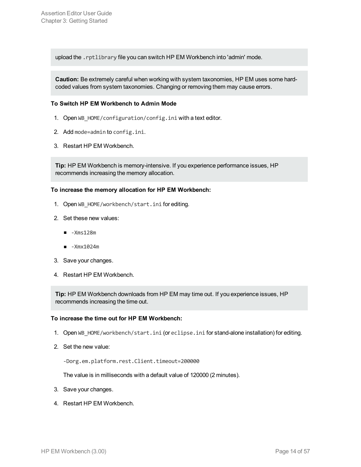upload the .rptlibrary file you can switch HP EM Workbench into 'admin' mode.

**Caution:** Be extremely careful when working with system taxonomies, HP EM uses some hardcoded values from system taxonomies. Changing or removing them may cause errors.

#### **To Switch HP EM Workbench to Admin Mode**

- 1. Open WB HOME/configuration/config.ini with a text editor.
- 2. Add mode=admin to config.ini.
- 3. Restart HP EM Workbench.

**Tip:** HP EM Workbench is memory-intensive. If you experience performance issues, HP recommends increasing the memory allocation.

#### **To increase the memory allocation for HP EM Workbench:**

- 1. Open WB HOME/workbench/start.ini for editing.
- 2. Set these new values:
	- $N = Xm \leq 128m$
	- <sup>n</sup> -Xmx1024m
- 3. Save your changes.
- 4. Restart HP EM Workbench.

**Tip:** HP EM Workbench downloads from HP EM may time out. If you experience issues, HP recommends increasing the time out.

#### **To increase the time out for HP EM Workbench:**

- 1. Open WB\_HOME/workbench/start.ini (or eclipse.ini for stand-alone installation) for editing.
- 2. Set the new value:

-Dorg.em.platform.rest.Client.timeout=200000

The value is in milliseconds with a default value of 120000 (2 minutes).

- 3. Save your changes.
- 4. Restart HP EM Workbench.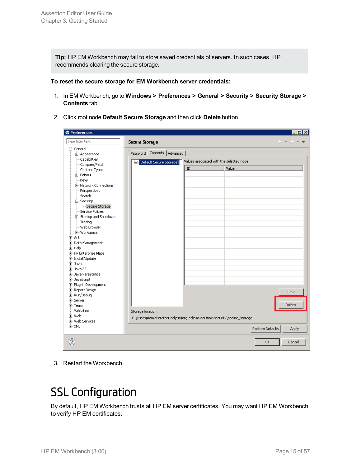**Tip:** HP EM Workbench may fail to store saved credentials of servers. In such cases, HP recommends clearing the secure storage.

#### **To reset the secure storage for EM Workbench server credentials:**

- 1. In EM Workbench, go to **Windows > Preferences > General > Security > Security Storage > Contents** tab.
- 2. Click root node **Default Secure Storage** and then click **Delete** button.

| <b>O</b> Preferences   |                                                                             |    |                                           | $\Box$ $\times$           |
|------------------------|-----------------------------------------------------------------------------|----|-------------------------------------------|---------------------------|
| type filter text       | <b>Secure Storage</b>                                                       |    |                                           |                           |
| <b>⊟</b> General       |                                                                             |    |                                           |                           |
| 由 Appearance           | Password Contents   Advanced                                                |    |                                           |                           |
| Capabilities           | <b>EF</b> [Default Secure Storage]                                          |    | Values associated with the selected node: |                           |
| Compare/Patch          |                                                                             |    |                                           |                           |
| Content Types          |                                                                             | ID | Value                                     |                           |
| 由· Editors             |                                                                             |    |                                           |                           |
| · Keys                 |                                                                             |    |                                           |                           |
| E-Network Connections  |                                                                             |    |                                           |                           |
| Perspectives           |                                                                             |    |                                           |                           |
| - Search               |                                                                             |    |                                           |                           |
| 白· Security            |                                                                             |    |                                           |                           |
| Secure Storage         |                                                                             |    |                                           |                           |
| Service Policies       |                                                                             |    |                                           |                           |
| E-Startup and Shutdown |                                                                             |    |                                           |                           |
| - Tracing              |                                                                             |    |                                           |                           |
| - Web Browser          |                                                                             |    |                                           |                           |
| 由 Workspace            |                                                                             |    |                                           |                           |
| E-Ant                  |                                                                             |    |                                           |                           |
| 由 Data Management      |                                                                             |    |                                           |                           |
| 主·Help                 |                                                                             |    |                                           |                           |
| 由 HP Enterprise Maps   |                                                                             |    |                                           |                           |
| 由 Install/Update       |                                                                             |    |                                           |                           |
| ⊞- Java                |                                                                             |    |                                           |                           |
| 中· Java EE             |                                                                             |    |                                           |                           |
| 中 Java Persistence     |                                                                             |    |                                           |                           |
| 由· JavaScript          |                                                                             |    |                                           |                           |
| 由· Plug-in Development |                                                                             |    |                                           |                           |
| 由 Report Design        |                                                                             |    |                                           | Save                      |
| 由· Run/Debug           |                                                                             |    |                                           |                           |
| <b>E</b> l-Server      |                                                                             |    |                                           |                           |
| ⊞⊢Team                 |                                                                             |    |                                           | Delete                    |
| -- Validation          | Storage location:                                                           |    |                                           |                           |
| 由· Web                 | C:\Users\Administrator\.eclipse\org.eclipse.equinox.security\secure_storage |    |                                           |                           |
| 中 Web Services         |                                                                             |    |                                           |                           |
| ⊞~ XML                 |                                                                             |    |                                           | Restore Defaults<br>Apply |
|                        |                                                                             |    |                                           |                           |
| 3                      |                                                                             |    |                                           | Cancel<br>ОК              |

<span id="page-14-0"></span>3. Restart the Workbench.

## SSL Configuration

By default, HP EM Workbench trusts all HP EM server certificates. You may want HP EM Workbench to verify HP EM certificates.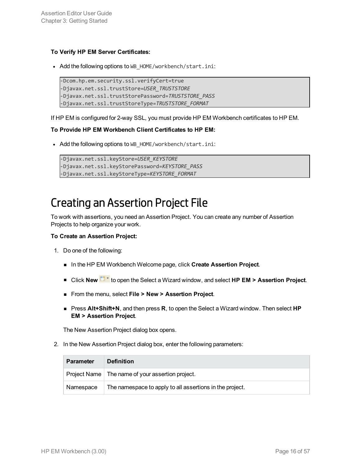#### **To Verify HP EM Server Certificates:**

• Add the following options to WB\_HOME/workbench/start.ini:

```
-Dcom.hp.em.security.ssl.verifyCert=true
-Djavax.net.ssl.trustStore=USER_TRUSTSTORE
-Djavax.net.ssl.trustStorePassword=TRUSTSTORE_PASS
-Djavax.net.ssl.trustStoreType=TRUSTSTORE_FORMAT
```
If HP EM is configured for 2-way SSL, you must provide HP EM Workbench certificates to HP EM.

#### **To Provide HP EM Workbench Client Certificates to HP EM:**

• Add the following options to WB\_HOME/workbench/start.ini:

```
-Djavax.net.ssl.keyStore=USER_KEYSTORE
-Djavax.net.ssl.keyStorePassword=KEYSTORE_PASS
-Djavax.net.ssl.keyStoreType=KEYSTORE_FORMAT
```
### <span id="page-15-0"></span>Creating an Assertion Project File

To work with assertions, you need an Assertion Project. You can create any number of Assertion Projects to help organize your work.

#### **To Create an Assertion Project:**

- 1. Do one of the following:
	- <sup>n</sup> In the HP EM Workbench Welcome page, click **Create Assertion Project**.
	- Click **New**  $\frac{a^*}{a^*}$  to open the Select a Wizard window, and select HP **EM** > Assertion Project.
	- <sup>n</sup> From the menu, select **File > New > Assertion Project**.
	- Press Alt+Shift+N, and then press R, to open the Select a Wizard window. Then select HP **EM > Assertion Project**.

The New Assertion Project dialog box opens.

2. In the New Assertion Project dialog box, enter the following parameters:

| <b>Parameter</b> | <b>Definition</b>                                        |
|------------------|----------------------------------------------------------|
|                  | Project Name   The name of your assertion project.       |
| Namespace        | The namespace to apply to all assertions in the project. |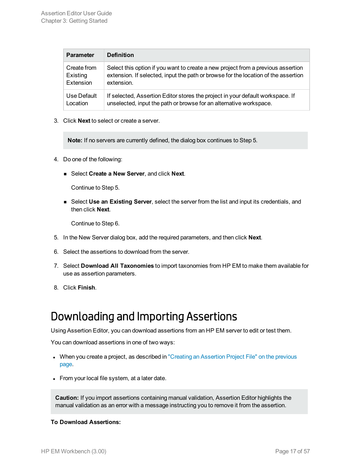| <b>Parameter</b> | <b>Definition</b>                                                                  |
|------------------|------------------------------------------------------------------------------------|
| Create from      | Select this option if you want to create a new project from a previous assertion   |
| Existing         | extension. If selected, input the path or browse for the location of the assertion |
| Extension        | extension.                                                                         |
| Use Default      | If selected, Assertion Editor stores the project in your default workspace. If     |
| Location         | unselected, input the path or browse for an alternative workspace.                 |

3. Click **Next** to select or create a server.

**Note:** If no servers are currently defined, the dialog box continues to Step 5.

- 4. Do one of the following:
	- <sup>n</sup> Select **Create a New Server**, and click **Next**.

Continue to Step 5.

<sup>n</sup> Select **Use an Existing Server**, select the server from the list and input its credentials, and then click **Next**.

Continue to Step 6.

- 5. In the New Server dialog box, add the required parameters, and then click **Next**.
- 6. Select the assertions to download from the server.
- 7. Select **Download All Taxonomies** to import taxonomies from HP EM to make them available for use as assertion parameters.
- <span id="page-16-0"></span>8. Click **Finish**.

### Downloading and Importing Assertions

Using Assertion Editor, you can download assertions from an HP EM server to edit or test them.

You can download assertions in one of two ways:

- When you create a project, as described in "Creating an [Assertion](#page-15-0) Project File" on the previous [page](#page-15-0).
- From your local file system, at a later date.

**Caution:** If you import assertions containing manual validation, Assertion Editor highlights the manual validation as an error with a message instructing you to remove it from the assertion.

#### **To Download Assertions:**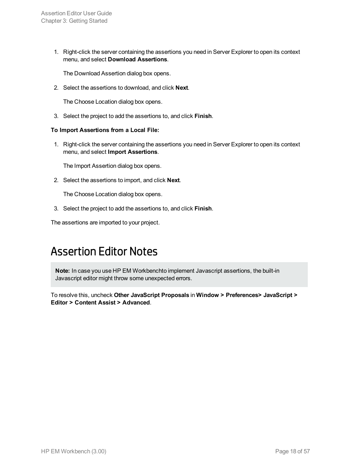1. Right-click the server containing the assertions you need in Server Explorer to open its context menu, and select **Download Assertions**.

The Download Assertion dialog box opens.

2. Select the assertions to download, and click **Next**.

The Choose Location dialog box opens.

3. Select the project to add the assertions to, and click **Finish**.

#### **To Import Assertions from a Local File:**

1. Right-click the server containing the assertions you need in Server Explorer to open its context menu, and select **Import Assertions**.

The Import Assertion dialog box opens.

2. Select the assertions to import, and click **Next**.

The Choose Location dialog box opens.

3. Select the project to add the assertions to, and click **Finish**.

<span id="page-17-0"></span>The assertions are imported to your project.

### Assertion Editor Notes

**Note:** In case you use HP EM Workbenchto implement Javascript assertions, the built-in Javascript editor might throw some unexpected errors.

To resolve this, uncheck **Other JavaScript Proposals** in **Window > Preferences> JavaScript > Editor > Content Assist > Advanced**.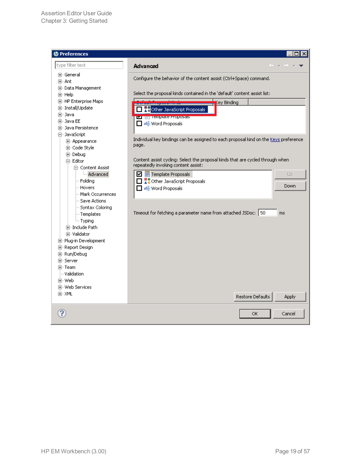| <b>O</b> Preferences                                                                                        |                                                                                                                                   |
|-------------------------------------------------------------------------------------------------------------|-----------------------------------------------------------------------------------------------------------------------------------|
| type filter text                                                                                            | Advanced                                                                                                                          |
| 国·· General<br>⊞~ Anti                                                                                      | Configure the behavior of the content assist (Ctrl+Space) command.                                                                |
| 国·Data Management<br>国·Help<br>由 HP Enterprise Maps<br>画·Install/Update                                     | Select the proposal kinds contained in the 'default' content assist list:<br>Key Binding<br><b>DES</b> Other JavaScript Proposals |
| 国·Java<br>国· Java EE<br>中· Java Persistence<br>日· JavaScript                                                | <b>M</b> E Template Proposals<br>able Word Proposals                                                                              |
| 由· Appearance<br>由· Code Style<br>田· Debug                                                                  | Individual key bindings can be assigned to each proposal kind on the Keys preference<br>page.                                     |
| 白·Editor<br>白· Content Assist                                                                               | Content assist cycling: Select the proposal kinds that are cycled through when<br>repeatedly invoking content assist:             |
| illin Advanced<br>-- Folding<br>--- Hovers<br>-- Mark Occurrences<br>--- Save Actions<br>-- Syntax Coloring | $\equiv$ Template Proposals<br>☑<br>Up.<br>Other JavaScript Proposals<br>Down<br>abje Word Proposals                              |
| - Templates<br><sup>i</sup> Typing<br>由 Include Path<br>中·Validator<br>由 Plug-in Development                | Timeout for fetching a parameter name from attached JSDoc; 50<br>ms                                                               |
| 由 Report Design<br>由·Run/Debug<br>⊞-Server                                                                  |                                                                                                                                   |
| ⊞⊹Team.<br>— Validation<br>मि∘ Web<br>由 Web Services                                                        |                                                                                                                                   |
| 中·XML                                                                                                       | Restore Defaults<br><b>Apply</b>                                                                                                  |
|                                                                                                             | Cancel<br>ОК                                                                                                                      |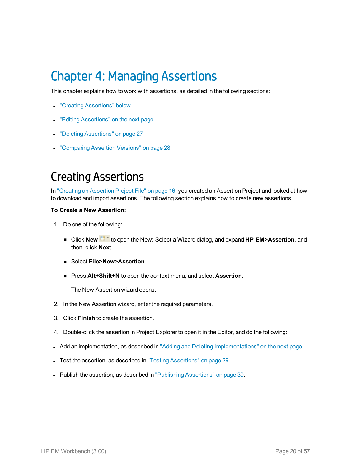## <span id="page-19-0"></span>Chapter 4: Managing Assertions

This chapter explains how to work with assertions, as detailed in the following sections:

- "Creating [Assertions"](#page-19-1) below
- "Editing [Assertions"](#page-20-0) on the next page
- "Deleting [Assertions"](#page-26-0) on page 27
- <span id="page-19-1"></span>• ["Comparing](#page-27-0) Assertion Versions" on page 28

### Creating Assertions

In "Creating an [Assertion](#page-15-0) Project File" on page 16, you created an Assertion Project and looked at how to download and import assertions. The following section explains how to create new assertions.

#### **To Create a New Assertion:**

- 1. Do one of the following:
	- Click New C<sup>o+</sup> to open the New: Select a Wizard dialog, and expand HP EM>Assertion, and then, click **Next**.
	- Select **File>New>Assertion.**
	- Press Alt+Shift+N to open the context menu, and select Assertion.

The New Assertion wizard opens.

- 2. In the New Assertion wizard, enter the required parameters.
- 3. Click **Finish** to create the assertion.
- 4. Double-click the assertion in Project Explorer to open it in the Editor, and do the following:
- Add an implementation, as described in "Adding and Deleting [Implementations"](#page-20-2) on the next page.
- Test the assertion, as described in "Testing [Assertions"](#page-28-1) on page 29.
- Publish the assertion, as described in "Publishing [Assertions"](#page-29-1) on page 30.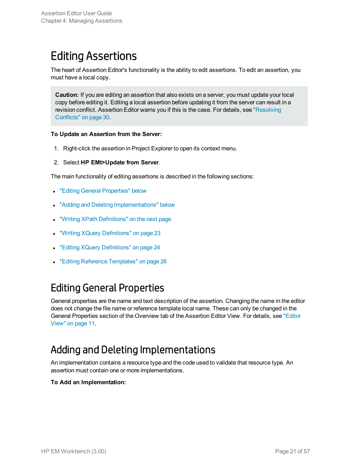## <span id="page-20-0"></span>Editing Assertions

The heart of Assertion Editor's functionality is the ability to edit assertions. To edit an assertion, you must have a local copy.

**Caution:** If you are editing an assertion that also exists on a server, you must update your local copy before editing it. Editing a local assertion before updating it from the server can result in a revision conflict. Assertion Editor warns you if this is the case. For details, see ["Resolving](#page-29-0) [Conflicts"](#page-29-0) on page 30.

#### **To Update an Assertion from the Server:**

- 1. Right-click the assertion in Project Explorer to open its context menu.
- 2. Select **HP EMt>Update from Server**.

The main functionality of editing assertions is described in the following sections:

- **.** "Editing General [Properties"](#page-20-1) below
- <sup>l</sup> "Adding and Deleting [Implementations"](#page-20-2) below
- "Writing XPath [Definitions"](#page-21-0) on the next page
- **.** "Writing XQuery [Definitions"](#page-22-0) on page 23
- **.** "Editing XQuery [Definitions"](#page-23-0) on page 24
- <span id="page-20-1"></span>**.** "Editing Reference [Templates"](#page-25-0) on page 26

### Editing General Properties

General properties are the name and text description of the assertion. Changing the name in the editor does not change the file name or reference template local name. These can only be changed in the General Properties section of the Overview tab of the Assertion Editor View. For details, see ["Editor](#page-10-1) View" on [page 11](#page-10-1).

### <span id="page-20-2"></span>Adding and Deleting Implementations

An implementation contains a resource type and the code used to validate that resource type. An assertion must contain one or more implementations.

#### **To Add an Implementation:**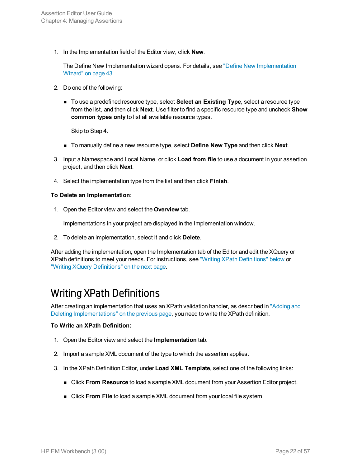1. In the Implementation field of the Editor view, click **New**.

The Define New Implementation wizard opens. For details, see "Define New [Implementation](#page-42-1) [Wizard"](#page-42-1) on page 43.

- 2. Do one of the following:
	- To use a predefined resource type, select **Select an Existing Type**, select a resource type from the list, and then click **Next**. Use filter to find a specific resource type and uncheck **Show common types only** to list all available resource types.

Skip to Step 4.

- <sup>n</sup> To manually define a new resource type, select **Define New Type** and then click **Next**.
- 3. Input a Namespace and Local Name, or click **Load from file** to use a document in your assertion project, and then click **Next**.
- 4. Select the implementation type from the list and then click **Finish**.

#### **To Delete an Implementation:**

1. Open the Editor view and select the **Overview** tab.

Implementations in your project are displayed in the Implementation window.

2. To delete an implementation, select it and click **Delete**.

After adding the implementation, open the Implementation tab of the Editor and edit the XQuery or XPath definitions to meet your needs. For instructions, see "Writing XPath [Definitions"](#page-21-0) below or "Writing XQuery [Definitions"](#page-22-0) on the next page.

### <span id="page-21-0"></span>Writing XPath Definitions

After creating an implementation that uses an XPath validation handler, as described in ["Adding](#page-20-2) and Deleting [Implementations"](#page-20-2) on the previous page, you need to write the XPath definition.

#### **To Write an XPath Definition:**

- 1. Open the Editor view and select the **Implementation** tab.
- 2. Import a sample XML document of the type to which the assertion applies.
- 3. In the XPath Definition Editor, under **Load XML Template**, select one of the following links:
	- **EX Click From Resource** to load a sample XML document from your Assertion Editor project.
	- <sup>n</sup> Click **From File** to load a sample XML document from your local file system.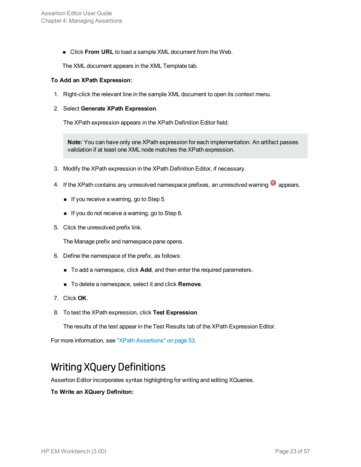<sup>n</sup> Click **From URL** to load a sample XML document from the Web.

The XML document appears in the XML Template tab.

#### **To Add an XPath Expression:**

- 1. Right-click the relevant line in the sample XML document to open its context menu.
- 2. Select **Generate XPath Expression**.

The XPath expression appears in the XPath Definition Editor field.

**Note:** You can have only one XPath expression for each implementation. An artifact passes validation if at least one XML node matches the XPath expression.

- 3. Modify the XPath expression in the XPath Definition Editor, if necessary.
- 4. If the XPath contains any unresolved namespace prefixes, an unresolved warning  $\bullet$  appears.
	- $\blacksquare$  If you receive a warning, go to Step 5.
	- If you do not receive a warning, go to Step 8.
- 5. Click the unresolved prefix link.

The Manage prefix and namespace pane opens.

- 6. Define the namespace of the prefix, as follows:
	- To add a namespace, click **Add**, and then enter the required parameters.
	- <sup>n</sup> To delete a namespace, select it and click **Remove**.
- 7. Click **OK**.
- 8. To test the XPath expression, click **Test Expression**.

The results of the test appear in the Test Results tab of the XPath Expression Editor.

<span id="page-22-0"></span>For more information, see "XPath [Assertions"](#page-52-0) on page 53.

### Writing XQuery Definitions

Assertion Editor incorporates syntax highlighting for writing and editing XQueries.

#### **To Write an XQuery Definiton:**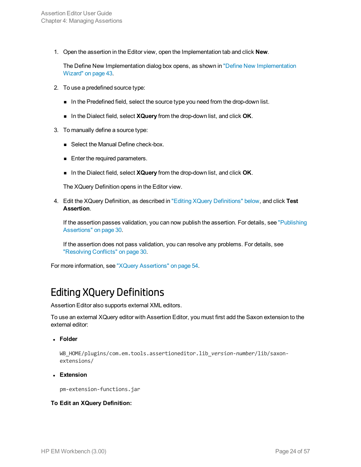1. Open the assertion in the Editor view, open the Implementation tab and click **New**.

The Define New Implementation dialog box opens, as shown in "Define New [Implementation](#page-42-1) [Wizard"](#page-42-1) on page 43.

- 2. To use a predefined source type:
	- n In the Predefined field, select the source type you need from the drop-down list.
	- <sup>n</sup> In the Dialect field, select **XQuery** from the drop-down list, and click **OK**.
- 3. To manually define a source type:
	- Select the Manual Define check-box.
	- Enter the required parameters.
	- <sup>n</sup> In the Dialect field, select **XQuery** from the drop-down list, and click **OK**.

The XQuery Definition opens in the Editor view.

4. Edit the XQuery Definition, as described in "Editing XQuery [Definitions"](#page-23-0) below, and click **Test Assertion**.

If the assertion passes validation, you can now publish the assertion. For details, see ["Publishing](#page-29-1) [Assertions"](#page-29-1) on page 30.

If the assertion does not pass validation, you can resolve any problems. For details, see ["Resolving](#page-29-0) Conflicts" on page 30.

<span id="page-23-0"></span>For more information, see "XQuery [Assertions"](#page-53-0) on page 54.

### Editing XQuery Definitions

Assertion Editor also supports external XML editors.

To use an external XQuery editor with Assertion Editor, you must first add the Saxon extension to the external editor:

#### <sup>l</sup> **Folder**

```
WB_HOME/plugins/com.em.tools.assertioneditor.lib_version-number/lib/saxon-
extensions/
```
**• Extension** 

pm-extension-functions.jar

#### **To Edit an XQuery Definition:**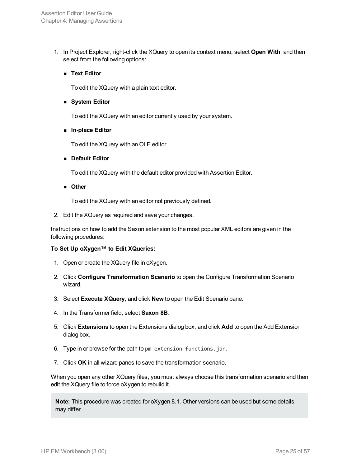- 1. In Project Explorer, right-click the XQuery to open its context menu, select **Open With**, and then select from the following options:
	- <sup>n</sup> **Text Editor**

To edit the XQuery with a plain text editor.

<sup>n</sup> **System Editor**

To edit the XQuery with an editor currently used by your system.

<sup>n</sup> **In-place Editor**

To edit the XQuery with an OLE editor.

<sup>n</sup> **Default Editor**

To edit the XQuery with the default editor provided with Assertion Editor.

<sup>n</sup> **Other**

To edit the XQuery with an editor not previously defined.

2. Edit the XQuery as required and save your changes.

Instructions on how to add the Saxon extension to the most popular XML editors are given in the following procedures:

#### **To Set Up oXygen™ to Edit XQueries:**

- 1. Open or create the XQuery file in oXygen.
- 2. Click **Configure Transformation Scenario** to open the Configure Transformation Scenario wizard.
- 3. Select **Execute XQuery**, and click **New** to open the Edit Scenario pane.
- 4. In the Transformer field, select **Saxon 8B**.
- 5. Click **Extensions** to open the Extensions dialog box, and click **Add** to open the Add Extension dialog box.
- 6. Type in or browse for the path to pm-extension-functions.jar.
- 7. Click **OK** in all wizard panes to save the transformation scenario.

When you open any other XQuery files, you must always choose this transformation scenario and then edit the XQuery file to force oXygen to rebuild it.

**Note:** This procedure was created for oXygen 8.1. Other versions can be used but some details may differ.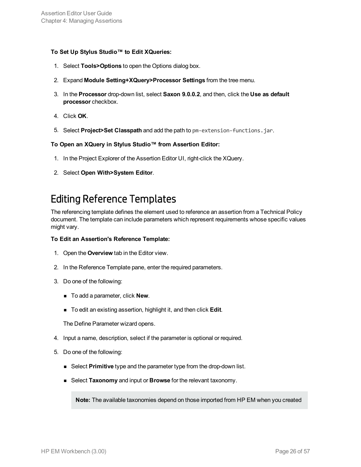#### **To Set Up Stylus Studio™ to Edit XQueries:**

- 1. Select **Tools>Options** to open the Options dialog box.
- 2. Expand **Module Setting+XQuery>Processor Settings** from the tree menu.
- 3. In the **Processor** drop-down list, select **Saxon 9.0.0.2**, and then, click the **Use as default processor** checkbox.
- 4. Click **OK**.
- 5. Select **Project>Set Classpath** and add the path to pm-extension-functions.jar.

#### **To Open an XQuery in Stylus Studio™ from Assertion Editor:**

- 1. In the Project Explorer of the Assertion Editor UI, right-click the XQuery.
- <span id="page-25-0"></span>2. Select **Open With>System Editor**.

### Editing Reference Templates

The referencing template defines the element used to reference an assertion from a Technical Policy document. The template can include parameters which represent requirements whose specific values might vary.

#### **To Edit an Assertion's Reference Template:**

- 1. Open the **Overview** tab in the Editor view.
- 2. In the Reference Template pane, enter the required parameters.
- 3. Do one of the following:
	- To add a parameter, click **New**.
	- To edit an existing assertion, highlight it, and then click **Edit**.

The Define Parameter wizard opens.

- 4. Input a name, description, select if the parameter is optional or required.
- 5. Do one of the following:
	- **EXECTE Primitive** type and the parameter type from the drop-down list.
	- **EXECTE Select Taxonomy** and input or **Browse** for the relevant taxonomy.

**Note:** The available taxonomies depend on those imported from HP EM when you created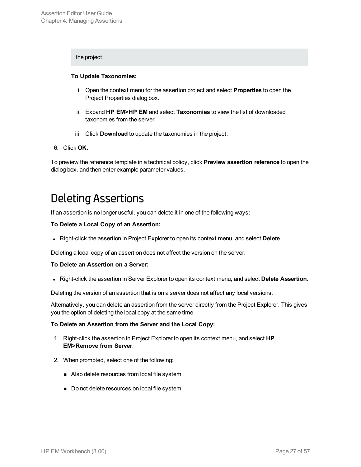#### the project.

#### **To Update Taxonomies:**

- i. Open the context menu for the assertion project and select **Properties** to open the Project Properties dialog box.
- ii. Expand **HP EM>HP EM** and select **Taxonomies** to view the list of downloaded taxonomies from the server.
- iii. Click **Download** to update the taxonomies in the project.
- 6. Click **OK**.

To preview the reference template in a technical policy, click **Preview assertion reference** to open the dialog box, and then enter example parameter values.

### <span id="page-26-0"></span>Deleting Assertions

If an assertion is no longer useful, you can delete it in one of the following ways:

#### **To Delete a Local Copy of an Assertion:**

**Right-click the assertion in Project Explorer to open its context menu, and select Delete.** 

Deleting a local copy of an assertion does not affect the version on the server.

#### **To Delete an Assertion on a Server:**

<sup>l</sup> Right-click the assertion in Server Explorer to open its context menu, and select **Delete Assertion**.

Deleting the version of an assertion that is on a server does not affect any local versions.

Alternatively, you can delete an assertion from the server directly from the Project Explorer. This gives you the option of deleting the local copy at the same time.

#### **To Delete an Assertion from the Server and the Local Copy:**

- 1. Right-click the assertion in Project Explorer to open its context menu, and select **HP EM>Remove from Server**.
- 2. When prompted, select one of the following:
	- Also delete resources from local file system.
	- Do not delete resources on local file system.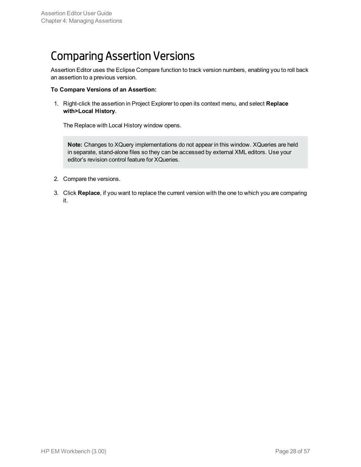## <span id="page-27-0"></span>Comparing Assertion Versions

Assertion Editor uses the Eclipse Compare function to track version numbers, enabling you to roll back an assertion to a previous version.

#### **To Compare Versions of an Assertion:**

1. Right-click the assertion in Project Explorer to open its context menu, and select **Replace with>Local History**.

The Replace with Local History window opens.

**Note:** Changes to XQuery implementations do not appear in this window. XQueries are held in separate, stand-alone files so they can be accessed by external XML editors. Use your editor's revision control feature for XQueries.

- 2. Compare the versions.
- 3. Click **Replace**, if you want to replace the current version with the one to which you are comparing it.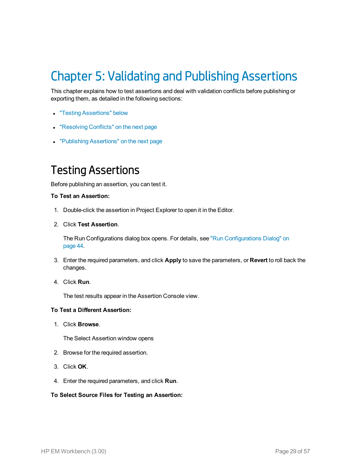# <span id="page-28-0"></span>Chapter 5: Validating and Publishing Assertions

This chapter explains how to test assertions and deal with validation conflicts before publishing or exporting them, as detailed in the following sections:

- "Testing [Assertions"](#page-28-1) below
- ["Resolving](#page-29-0) Conflicts" on the next page
- <span id="page-28-1"></span>• "Publishing [Assertions"](#page-29-1) on the next page

### Testing Assertions

Before publishing an assertion, you can test it.

#### **To Test an Assertion:**

- 1. Double-click the assertion in Project Explorer to open it in the Editor.
- 2. Click **Test Assertion**.

The Run Configurations dialog box opens. For details, see "Run [Configurations](#page-43-0) Dialog" on [page 44](#page-43-0).

- 3. Enter the required parameters, and click **Apply** to save the parameters, or **Revert** to roll back the changes.
- 4. Click **Run**.

The test results appear in the Assertion Console view.

#### **To Test a Different Assertion:**

1. Click **Browse**.

The Select Assertion window opens

- 2. Browse for the required assertion.
- 3. Click **OK**.
- 4. Enter the required parameters, and click **Run**.

#### **To Select Source Files for Testing an Assertion:**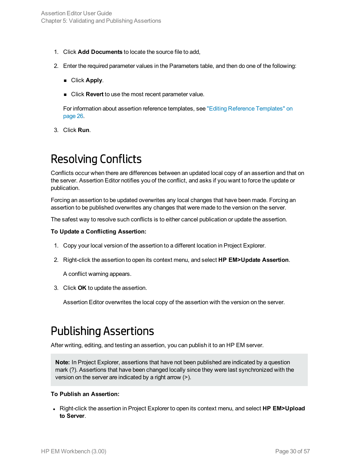- 1. Click **Add Documents** to locate the source file to add,
- 2. Enter the required parameter values in the Parameters table, and then do one of the following:
	- Click **Apply**.
	- **n** Click **Revert** to use the most recent parameter value.

For information about assertion reference templates, see "Editing Reference [Templates"](#page-25-0) on [page 26](#page-25-0).

<span id="page-29-0"></span>3. Click **Run**.

## Resolving Conflicts

Conflicts occur when there are differences between an updated local copy of an assertion and that on the server. Assertion Editor notifies you of the conflict, and asks if you want to force the update or publication.

Forcing an assertion to be updated overwrites any local changes that have been made. Forcing an assertion to be published overwrites any changes that were made to the version on the server.

The safest way to resolve such conflicts is to either cancel publication or update the assertion.

#### **To Update a Conflicting Assertion:**

- 1. Copy your local version of the assertion to a different location in Project Explorer.
- 2. Right-click the assertion to open its context menu, and select **HP EM>Update Assertion**.

A conflict warning appears.

3. Click **OK** to update the assertion.

Assertion Editor overwrites the local copy of the assertion with the version on the server.

## <span id="page-29-1"></span>Publishing Assertions

After writing, editing, and testing an assertion, you can publish it to an HP EM server.

**Note:** In Project Explorer, assertions that have not been published are indicated by a question mark (?). Assertions that have been changed locally since they were last synchronized with the version on the server are indicated by a right arrow (>).

#### **To Publish an Assertion:**

<sup>l</sup> Right-click the assertion in Project Explorer to open its context menu, and select **HP EM>Upload to Server**.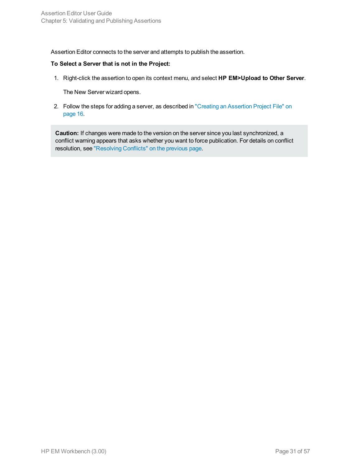Assertion Editor connects to the server and attempts to publish the assertion.

#### **To Select a Server that is not in the Project:**

1. Right-click the assertion to open its context menu, and select **HP EM>Upload to Other Server**.

The New Server wizard opens.

2. Follow the steps for adding a server, as described in "Creating an [Assertion](#page-15-0) Project File" on [page 16](#page-15-0).

**Caution:** If changes were made to the version on the server since you last synchronized, a conflict warning appears that asks whether you want to force publication. For details on conflict resolution, see ["Resolving](#page-29-0) Conflicts" on the previous page.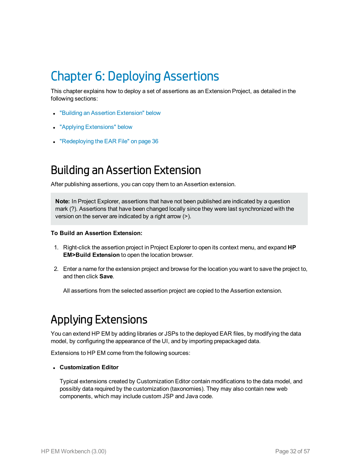# <span id="page-31-0"></span>Chapter 6: Deploying Assertions

This chapter explains how to deploy a set of assertions as an Extension Project, as detailed in the following sections:

- **.** "Building an Assertion [Extension"](#page-31-1) below
- "Applying [Extensions"](#page-31-2) below
- <span id="page-31-1"></span>• ["Redeploying](#page-35-0) the EAR File" on page 36

### Building an Assertion Extension

After publishing assertions, you can copy them to an Assertion extension.

**Note:** In Project Explorer, assertions that have not been published are indicated by a question mark (?). Assertions that have been changed locally since they were last synchronized with the version on the server are indicated by a right arrow (>).

#### **To Build an Assertion Extension:**

- 1. Right-click the assertion project in Project Explorer to open its context menu, and expand **HP EM>Build Extension** to open the location browser.
- 2. Enter a name for the extension project and browse for the location you want to save the project to, and then click **Save**.

All assertions from the selected assertion project are copied to the Assertion extension.

## <span id="page-31-2"></span>Applying Extensions

You can extend HP EM by adding libraries or JSPs to the deployed EAR files, by modifying the data model, by configuring the appearance of the UI, and by importing prepackaged data.

Extensions to HP EM come from the following sources:

#### <sup>l</sup> **Customization Editor**

Typical extensions created by Customization Editor contain modifications to the data model, and possibly data required by the customization (taxonomies). They may also contain new web components, which may include custom JSP and Java code.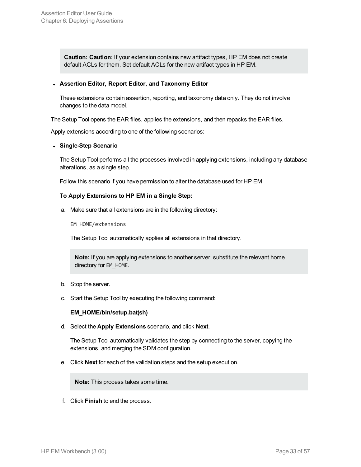**Caution: Caution:** If your extension contains new artifact types, HP EM does not create default ACLs for them. Set default ACLs for the new artifact types in HP EM.

#### <sup>l</sup> **Assertion Editor, Report Editor, and Taxonomy Editor**

These extensions contain assertion, reporting, and taxonomy data only. They do not involve changes to the data model.

The Setup Tool opens the EAR files, applies the extensions, and then repacks the EAR files.

Apply extensions according to one of the following scenarios:

#### <sup>l</sup> **Single-Step Scenario**

The Setup Tool performs all the processes involved in applying extensions, including any database alterations, as a single step.

Follow this scenario if you have permission to alter the database used for HP EM.

#### **To Apply Extensions to HP EM in a Single Step:**

a. Make sure that all extensions are in the following directory:

EM\_HOME/extensions

The Setup Tool automatically applies all extensions in that directory.

**Note:** If you are applying extensions to another server, substitute the relevant home directory for EM\_HOME.

- b. Stop the server.
- c. Start the Setup Tool by executing the following command:

#### **EM\_HOME/bin/setup.bat(sh)**

d. Select the **Apply Extensions** scenario, and click **Next**.

The Setup Tool automatically validates the step by connecting to the server, copying the extensions, and merging the SDM configuration.

e. Click **Next** for each of the validation steps and the setup execution.

**Note:** This process takes some time.

f. Click **Finish** to end the process.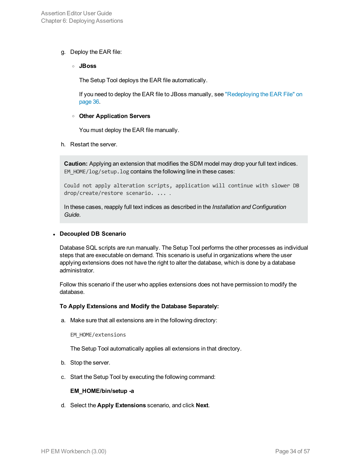#### g. Deploy the EAR file:

#### <sup>o</sup> **JBoss**

The Setup Tool deploys the EAR file automatically.

If you need to deploy the EAR file to JBoss manually, see ["Redeploying](#page-35-0) the EAR File" on [page 36](#page-35-0).

#### <sup>o</sup> **Other Application Servers**

You must deploy the EAR file manually.

h. Restart the server.

**Caution:** Applying an extension that modifies the SDM model may drop your full text indices. EM HOME/log/setup.log contains the following line in these cases:

Could not apply alteration scripts, application will continue with slower DB drop/create/restore scenario. ... .

In these cases, reapply full text indices as described in the *Installation and Configuration Guide*.

#### <sup>l</sup> **Decoupled DB Scenario**

Database SQL scripts are run manually. The Setup Tool performs the other processes as individual steps that are executable on demand. This scenario is useful in organizations where the user applying extensions does not have the right to alter the database, which is done by a database administrator.

Follow this scenario if the user who applies extensions does not have permission to modify the database.

#### **To Apply Extensions and Modify the Database Separately:**

a. Make sure that all extensions are in the following directory:

EM\_HOME/extensions

The Setup Tool automatically applies all extensions in that directory.

- b. Stop the server.
- c. Start the Setup Tool by executing the following command:

#### **EM\_HOME/bin/setup -a**

d. Select the **Apply Extensions** scenario, and click **Next**.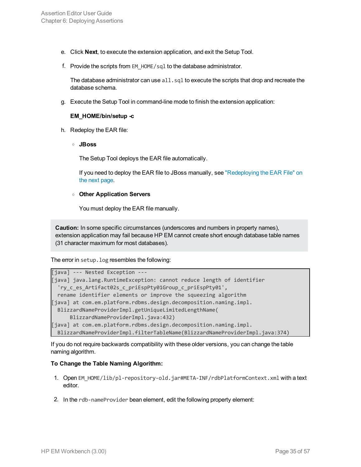- e. Click **Next**, to execute the extension application, and exit the Setup Tool.
- f. Provide the scripts from EM\_HOME/sql to the database administrator.

The database administrator can use  $all$ . sql to execute the scripts that drop and recreate the database schema.

g. Execute the Setup Tool in command-line mode to finish the extension application:

#### **EM\_HOME/bin/setup -c**

- h. Redeploy the EAR file:
	- <sup>o</sup> **JBoss**

The Setup Tool deploys the EAR file automatically.

If you need to deploy the EAR file to JBoss manually, see ["Redeploying](#page-35-0) the EAR File" on the next [page](#page-35-0).

#### <sup>o</sup> **Other Application Servers**

You must deploy the EAR file manually.

**Caution:** In some specific circumstances (underscores and numbers in property names), extension application may fail because HP EM cannot create short enough database table names (31 character maximum for most databases).

The error in setup.log resembles the following:

```
[java] --- Nested Exception ---
[java] java.lang.RuntimeException: cannot reduce length of identifier
 'ry_c_es_Artifact02s_c_priEspPty01Group_c_priEspPty01',
 rename identifier elements or improve the squeezing algorithm
[java] at com.em.platform.rdbms.design.decomposition.naming.impl.
 BlizzardNameProviderImpl.getUniqueLimitedLengthName(
     BlizzardNameProviderImpl.java:432)
[java] at com.em.platform.rdbms.design.decomposition.naming.impl.
 BlizzardNameProviderImpl.filterTableName(BlizzardNameProviderImpl.java:374)
```
If you do not require backwards compatibility with these older versions, you can change the table naming algorithm.

#### **To Change the Table Naming Algorithm:**

- 1. Open EM\_HOME/lib/pl-repository-old.jar#META-INF/rdbPlatformContext.xml with a text editor.
- 2. In the rdb-nameProvider bean element, edit the following property element: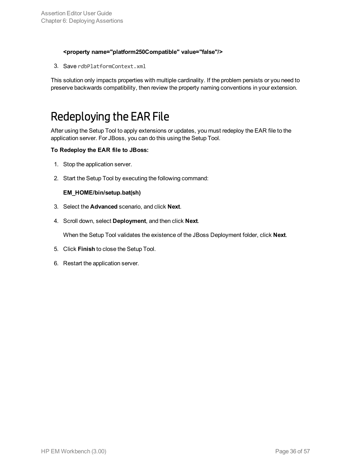#### **<property name="platform250Compatible" value="false"/>**

3. Save rdbPlatformContext.xml

This solution only impacts properties with multiple cardinality. If the problem persists or you need to preserve backwards compatibility, then review the property naming conventions in your extension.

## <span id="page-35-0"></span>Redeploying the EAR File

After using the Setup Tool to apply extensions or updates, you must redeploy the EAR file to the application server. For JBoss, you can do this using the Setup Tool.

#### **To Redeploy the EAR file to JBoss:**

- 1. Stop the application server.
- 2. Start the Setup Tool by executing the following command:

#### **EM\_HOME/bin/setup.bat(sh)**

- 3. Select the **Advanced** scenario, and click **Next**.
- 4. Scroll down, select **Deployment**, and then click **Next**.

When the Setup Tool validates the existence of the JBoss Deployment folder, click **Next**.

- 5. Click **Finish** to close the Setup Tool.
- 6. Restart the application server.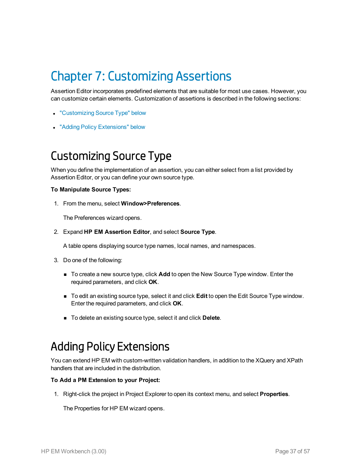# <span id="page-36-0"></span>Chapter 7: Customizing Assertions

Assertion Editor incorporates predefined elements that are suitable for most use cases. However, you can customize certain elements. Customization of assertions is described in the following sections:

- ["Customizing](#page-36-1) Source Type" below
- <span id="page-36-1"></span>• "Adding Policy [Extensions"](#page-36-2) below

## Customizing Source Type

When you define the implementation of an assertion, you can either select from a list provided by Assertion Editor, or you can define your own source type.

#### **To Manipulate Source Types:**

1. From the menu, select **Window>Preferences**.

The Preferences wizard opens.

2. Expand **HP EM Assertion Editor**, and select **Source Type**.

A table opens displaying source type names, local names, and namespaces.

- 3. Do one of the following:
	- <sup>n</sup> To create a new source type, click **Add** to open the New Source Type window. Enter the required parameters, and click **OK**.
	- **T** To edit an existing source type, select it and click **Edit** to open the Edit Source Type window. Enter the required parameters, and click **OK**.
	- <sup>n</sup> To delete an existing source type, select it and click **Delete**.

### <span id="page-36-2"></span>Adding Policy Extensions

You can extend HP EM with custom-written validation handlers, in addition to the XQuery and XPath handlers that are included in the distribution.

#### **To Add a PM Extension to your Project:**

1. Right-click the project in Project Explorer to open its context menu, and select **Properties**.

The Properties for HP EM wizard opens.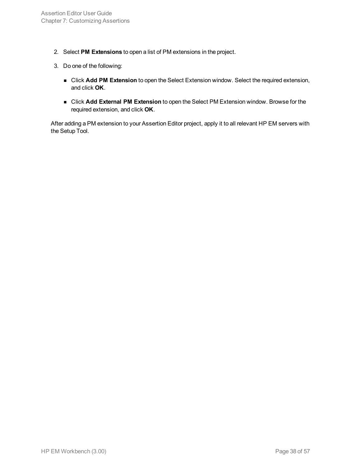- 2. Select **PM Extensions** to open a list of PM extensions in the project.
- 3. Do one of the following:
	- <sup>n</sup> Click **Add PM Extension** to open the Select Extension window. Select the required extension, and click **OK**.
	- <sup>n</sup> Click **Add External PM Extension** to open the Select PM Extension window. Browse for the required extension, and click **OK**.

After adding a PM extension to your Assertion Editor project, apply it to all relevant HP EM servers with the Setup Tool.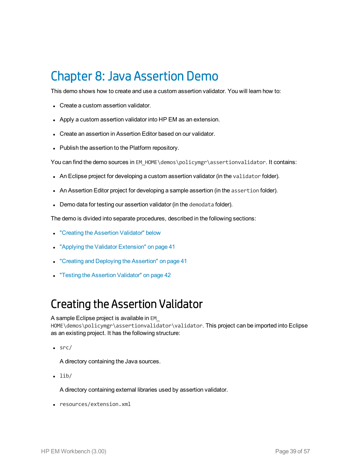## <span id="page-38-0"></span>Chapter 8: Java Assertion Demo

This demo shows how to create and use a custom assertion validator. You will learn how to:

- Create a custom assertion validator.
- Apply a custom assertion validator into HP EM as an extension.
- Create an assertion in Assertion Editor based on our validator.
- Publish the assertion to the Platform repository.

You can find the demo sources in EM\_HOME\demos\policymgr\assertionvalidator. It contains:

- An Eclipse project for developing a custom assertion validator (in the validator folder).
- An Assertion Editor project for developing a sample assertion (in the assertion folder).
- Demo data for testing our assertion validator (in the demodata folder).

The demo is divided into separate procedures, described in the following sections:

- "Creating the Assertion [Validator"](#page-38-1) below
- "Applying the Validator [Extension"](#page-40-0) on page 41
- "Creating and Deploying the [Assertion"](#page-40-1) on page 41
- <span id="page-38-1"></span>**.** "Testing the Assertion [Validator"](#page-41-0) on page 42

### Creating the Assertion Validator

A sample Eclipse project is available in EM\_

HOME\demos\policymgr\assertionvalidator\validator. This project can be imported into Eclipse as an existing project. It has the following structure:

 $\cdot$  src/

A directory containing the Java sources.

 $\cdot$  lib/

A directory containing external libraries used by assertion validator.

• resources/extension.xml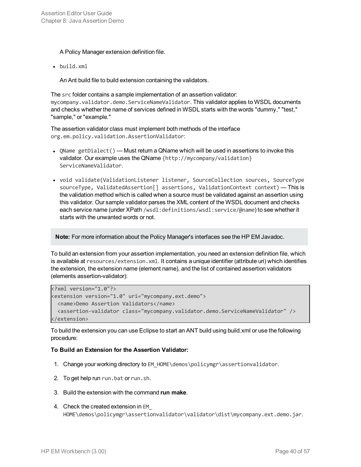#### A Policy Manager extension definition file.

• build.xml

An Ant build file to build extension containing the validators.

The src folder contains a sample implementation of an assertion validator: mycompany.validator.demo.ServiceNameValidator. This validator applies to WSDL documents and checks whether the name of services defined in WSDL starts with the words "dummy," "test," "sample," or "example."

The assertion validator class must implement both methods of the interface org.em.policy.validation.AssertionValidator:

- $\bullet$  OName getDialect() Must return a QName which will be used in assertions to invoke this validator. Our example uses the QName {http://mycompany/validation} ServiceNameValidator.
- void validate(ValidationListener listener, SourceCollection sources, SourceType sourceType, ValidatedAssertion[] assertions, ValidationContext context) — This is the validation method which is called when a source must be validated against an assertion using this validator. Our sample validator parses the XML content of the WSDL document and checks each service name (under XPath /wsdl:definitions/wsdl:service/@name) to see whether it starts with the unwanted words or not.

**Note:** For more information about the Policy Manager's interfaces see the HP EM Javadoc.

To build an extension from your assertion implementation, you need an extension definition file, which is available at resources/extension.xml. It contains a unique identifier (attribute uri) which identifies the extension, the extension name (element name), and the list of contained assertion validators (elements assertion-validator):

```
<?xml version="1.0"?>
<extension version="1.0" uri="mycompany.ext.demo">
  <name>Demo Assertion Validators</name>
  <assertion-validator class="mycompany.validator.demo.ServiceNameValidator" />
</extension>
```
To build the extension you can use Eclipse to start an ANT build using build.xml or use the following procedure:

#### **To Build an Extension for the Assertion Validator:**

- 1. Change your working directory to EM\_HOME\demos\policymgr\assertionvalidator.
- 2. To get help run run.bat or run.sh.
- 3. Build the extension with the command **run make**.
- 4. Check the created extension in EM\_ HOME\demos\policymgr\assertionvalidator\validator\dist\mycompany.ext.demo.jar.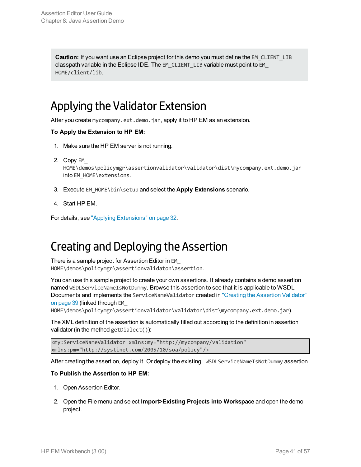**Caution:** If you want use an Eclipse project for this demo you must define the EM\_CLIENT\_LIB classpath variable in the Eclipse IDE. The EM CLIENT LIB variable must point to EM HOME/client/lib.

## <span id="page-40-0"></span>Applying the Validator Extension

After you create mycompany.ext.demo.jar, apply it to HP EM as an extension.

#### **To Apply the Extension to HP EM:**

- 1. Make sure the HP EM server is not running.
- 2. Copy EM\_ HOME\demos\policymgr\assertionvalidator\validator\dist\mycompany.ext.demo.jar into EM\_HOME\extensions.
- 3. Execute EM\_HOME\bin\setup and select the **Apply Extensions** scenario.
- 4. Start HP EM.

<span id="page-40-1"></span>For details, see "Applying [Extensions"](#page-31-2) on page 32.

### Creating and Deploying the Assertion

There is a sample project for Assertion Editor in EM\_ HOME\demos\policymgr\assertionvalidaton\assertion.

You can use this sample project to create your own assertions. It already contains a demo assertion named WSDLServiceNameIsNotDummy. Browse this assertion to see that it is applicable to WSDL Documents and implements the ServiceNameValidator created in "Creating the [Assertion](#page-38-1) Validator" on [page 39](#page-38-1) (linked through EM\_

HOME\demos\policymgr\assertionvalidator\validator\dist\mycompany.ext.demo.jar).

The XML definition of the assertion is automatically filled out according to the definition in assertion validator (in the method getDialect()):

```
<my:ServiceNameValidator xmlns:my="http://mycompany/validation"
xmlns:pm="http://systinet.com/2005/10/soa/policy"/>
```
After creating the assertion, deploy it. Or deploy the existing WSDLServiceNameIsNotDummy assertion.

#### **To Publish the Assertion to HP EM:**

- 1. Open Assertion Editor.
- 2. Open the File menu and select **Import>Existing Projects into Workspace** and open the demo project.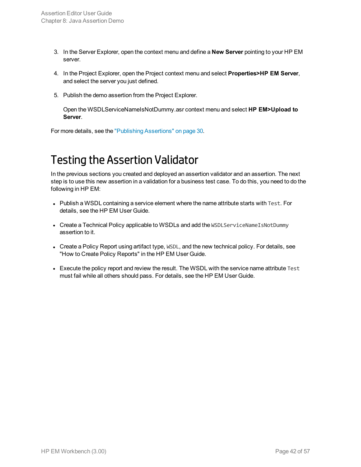- 3. In the Server Explorer, open the context menu and define a **New Server** pointing to your HP EM server.
- 4. In the Project Explorer, open the Project context menu and select **Properties>HP EM Server**, and select the server you just defined.
- 5. Publish the demo assertion from the Project Explorer.

Open the WSDLServiceNameIsNotDummy.asr context menu and select **HP EM>Upload to Server**.

<span id="page-41-0"></span>For more details, see the "Publishing [Assertions"](#page-29-1) on page 30.

## Testing the Assertion Validator

In the previous sections you created and deployed an assertion validator and an assertion. The next step is to use this new assertion in a validation for a business test case. To do this, you need to do the following in HP EM:

- Publish a WSDL containing a service element where the name attribute starts with Test. For details, see the HP EM User Guide.
- Create a Technical Policy applicable to WSDLs and add the WSDLServiceNameIsNotDummy assertion to it.
- Create a Policy Report using artifact type, WSDL, and the new technical policy. For details, see "How to Create Policy Reports" in the HP EM User Guide.
- $\bullet$  Execute the policy report and review the result. The WSDL with the service name attribute Test must fail while all others should pass. For details, see the HP EM User Guide.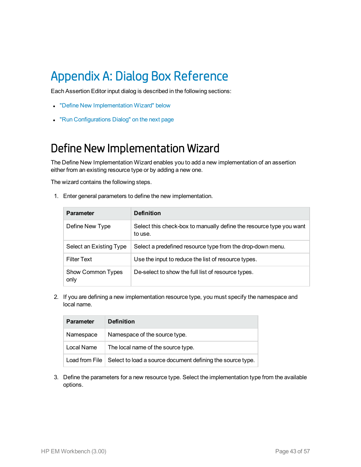# <span id="page-42-0"></span>Appendix A: Dialog Box Reference

Each Assertion Editor input dialog is described in the following sections:

- **.** "Define New [Implementation](#page-42-1) Wizard" below
- <span id="page-42-1"></span>• "Run [Configurations](#page-43-0) Dialog" on the next page

## Define New Implementation Wizard

The Define New Implementation Wizard enables you to add a new implementation of an assertion either from an existing resource type or by adding a new one.

The wizard contains the following steps.

1. Enter general parameters to define the new implementation.

| <b>Parameter</b>                 | <b>Definition</b>                                                              |
|----------------------------------|--------------------------------------------------------------------------------|
| Define New Type                  | Select this check-box to manually define the resource type you want<br>to use. |
| Select an Existing Type          | Select a predefined resource type from the drop-down menu.                     |
| <b>Filter Text</b>               | Use the input to reduce the list of resource types.                            |
| <b>Show Common Types</b><br>only | De-select to show the full list of resource types.                             |

2. If you are defining a new implementation resource type, you must specify the namespace and local name.

| <b>Parameter</b> | <b>Definition</b>                                                                 |
|------------------|-----------------------------------------------------------------------------------|
| Namespace        | Namespace of the source type.                                                     |
| Local Name       | The local name of the source type.                                                |
|                  | Load from File $\vert$ Select to load a source document defining the source type. |

3. Define the parameters for a new resource type. Select the implementation type from the available options.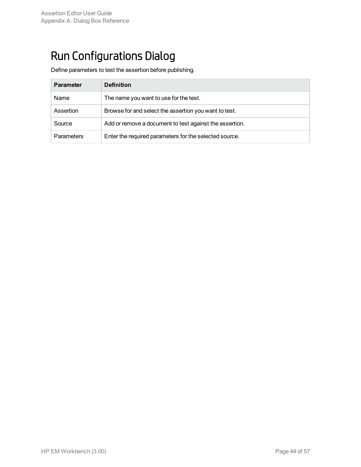## <span id="page-43-0"></span>Run Configurations Dialog

Define parameters to test the assertion before publishing.

| <b>Parameter</b>  | <b>Definition</b>                                       |
|-------------------|---------------------------------------------------------|
| Name              | The name you want to use for the test.                  |
| Assertion         | Browse for and select the assertion you want to test.   |
| Source            | Add or remove a document to test against the assertion. |
| <b>Parameters</b> | Enter the required parameters for the selected source.  |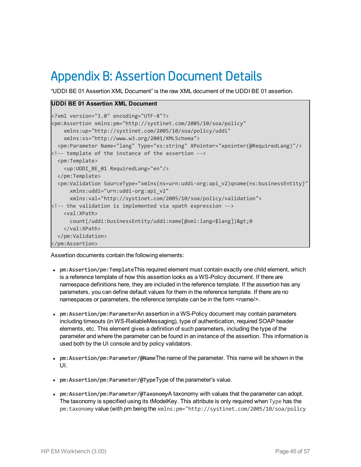## <span id="page-44-0"></span>Appendix B: Assertion Document Details

"UDDI BE 01 Assertion XML Document" is the raw XML document of the UDDI BE 01 assertion.

| <b>UDDI BE 01 Assertion XML Document</b>                                                                      |
|---------------------------------------------------------------------------------------------------------------|
| xml version="1.0" encoding="UTF-8"?                                                                           |
| <pm:assertion <="" th="" xmlns:pm="http://systinet.com/2005/10/soa/policy"></pm:assertion>                    |
| xmlns:up="http://systinet.com/2005/10/soa/policy/uddi"                                                        |
| xmlns:xs="http://www.w3.org/2001/XMLSchema">                                                                  |
| <pm:parameter name="lang" type="xs:string" xpointer="xpointer(@RequiredLang)"></pm:parameter>                 |
| $\langle$ !-- template of the instance of the assertion -->                                                   |
| <pm:template></pm:template>                                                                                   |
| <up:uddi 01="" be="" requiredlang="en"></up:uddi>                                                             |
|                                                                                                               |
| <pm:validation <="" sourcetype="xmlns(ns=urn:uddi-org:api_v2)qname(ns:businessEntity)" th=""></pm:validation> |
| xmlns:uddi="urn:uddi-org:api_v2"                                                                              |
| xmlns:val="http://systinet.com/2005/10/soa/policy/validation">                                                |
| the validation is implemented via xpath expression                                                            |
| <val:xpath></val:xpath>                                                                                       |
| count(/uddi:businessEntity/uddi:name[@xml:lang=\$lang])>0                                                     |
|                                                                                                               |
|                                                                                                               |
|                                                                                                               |

Assertion documents contain the following elements:

- <sup>l</sup> **pm:Assertion/pm:Template**This required element must contain exactly one child element, which is a reference template of how this assertion looks as a WS-Policy document. If there are namespace definitions here, they are included in the reference template. If the assertion has any parameters, you can define default values for them in the reference template. If there are no namespaces or parameters, the reference template can be in the form <name/>.
- <sup>l</sup> **pm:Assertion/pm:Parameter**An assertion in a WS-Policy document may contain parameters including timeouts (in WS-ReliableMessaging), type of authentication, required SOAP header elements, etc. This element gives a definition of such parameters, including the type of the parameter and where the parameter can be found in an instance of the assertion. This information is used both by the UI console and by policy validators.
- <sup>l</sup> **pm:Assertion/pm:Parameter/@Name**The name of the parameter. This name will be shown in the UI.
- **pm:Assertion/pm:Parameter/@TypeType of the parameter's value.**
- <sup>l</sup> **pm:Assertion/pm:Parameter/@Taxonomy**A taxonomy with values that the parameter can adopt. The taxonomy is specified using its tModelKey. This attribute is only required when Type has the pm:taxonomy value (with pm being the xmlns:pm="http://systinet.com/2005/10/soa/policy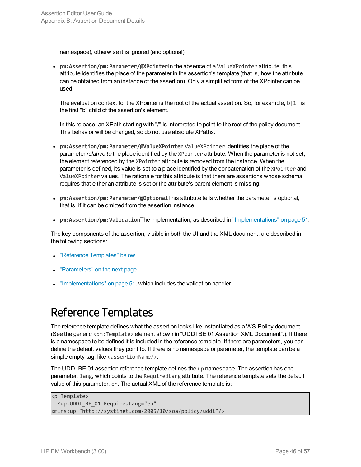namespace), otherwise it is ignored (and optional).

<sup>l</sup> **pm:Assertion/pm:Parameter/@XPointer**In the absence of a ValueXPointer attribute, this attribute identifies the place of the parameter in the assertion's template (that is, how the attribute can be obtained from an instance of the assertion). Only a simplified form of the XPointer can be used.

The evaluation context for the XPointer is the root of the actual assertion. So, for example,  $b[1]$  is the first "b" child of the assertion's element.

In this release, an XPath starting with "/" is interpreted to point to the root of the policy document. This behavior will be changed, so do not use absolute XPaths.

- <sup>l</sup> **pm:Assertion/pm:Parameter/@ValueXPointer** ValueXPointer identifies the place of the parameter *relative to* the place identified by the XPointer attribute. When the parameter is not set, the element referenced by the XPointer attribute is removed from the instance. When the parameter is defined, its value is set to a place identified by the concatenation of the XPointer and ValueXPointer values. The rationale for this attribute is that there are assertions whose schema requires that either an attribute is set or the attribute's parent element is missing.
- <sup>l</sup> **pm:Assertion/pm:Parameter/@Optional**This attribute tells whether the parameter is optional, that is, if it can be omitted from the assertion instance.
- <sup>l</sup> **pm:Assertion/pm:Validation**The implementation, as described in ["Implementations"](#page-50-0) on page 51.

The key components of the assertion, visible in both the UI and the XML document, are described in the following sections:

- "Reference [Templates"](#page-45-0) below
- ["Parameters"](#page-46-0) on the next page
- <span id="page-45-0"></span>. ["Implementations"](#page-50-0) on page 51, which includes the validation handler.

## Reference Templates

The reference template defines what the assertion looks like instantiated as a WS-Policy document (See the generic <pm:Template> element shown in "UDDI BE 01 Assertion XML Document".). If there is a namespace to be defined it is included in the reference template. If there are parameters, you can define the default values they point to. If there is no namespace or parameter, the template can be a simple empty tag, like <assertionName/>.

The UDDI BE 01 assertion reference template defines the up namespace. The assertion has one parameter, lang, which points to the RequiredLang attribute. The reference template sets the default value of this parameter, en. The actual XML of the reference template is:

```
<p:Template>
  <up:UDDI_BE_01 RequiredLang="en"
xmlns:up="http://systinet.com/2005/10/soa/policy/uddi"/>
```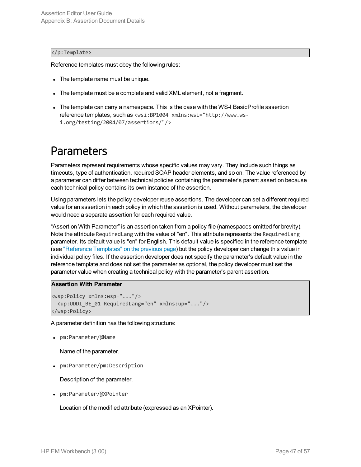#### </p:Template>

Reference templates must obey the following rules:

- The template name must be unique.
- The template must be a complete and valid XML element, not a fragment.
- The template can carry a namespace. This is the case with the WS-I BasicProfile assertion reference templates, such as <wsi:BP1004 xmlns:wsi="http://www.wsi.org/testing/2004/07/assertions/"/>

### <span id="page-46-0"></span>**Parameters**

Parameters represent requirements whose specific values may vary. They include such things as timeouts, type of authentication, required SOAP header elements, and so on. The value referenced by a parameter can differ between technical policies containing the parameter's parent assertion because each technical policy contains its own instance of the assertion.

Using parameters lets the policy developer reuse assertions. The developer can set a different required value for an assertion in each policy in which the assertion is used. Without parameters, the developer would need a separate assertion for each required value.

"Assertion With Parameter" is an assertion taken from a policy file (namespaces omitted for brevity). Note the attribute RequiredLang with the value of "en". This attribute represents the RequiredLang parameter. Its default value is "en" for English. This default value is specified in the reference template (see "Reference [Templates"](#page-45-0) on the previous page) but the policy developer can change this value in individual policy files. If the assertion developer does not specify the parameter's default value in the reference template and does not set the parameter as optional, the policy developer must set the parameter value when creating a technical policy with the parameter's parent assertion.

#### **Assertion With Parameter**

```
<wsp:Policy xmlns:wsp="..."/>
 <up:UDDI_BE_01 RequiredLang="en" xmlns:up="..."/>
</wsp:Policy>
```
A parameter definition has the following structure:

• pm:Parameter/@Name

Name of the parameter.

• pm:Parameter/pm:Description

Description of the parameter.

• pm:Parameter/@XPointer

Location of the modified attribute (expressed as an XPointer).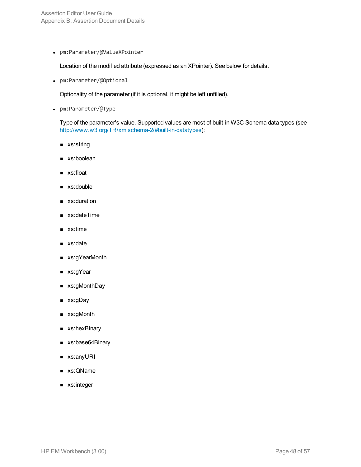• pm:Parameter/@ValueXPointer

Location of the modified attribute (expressed as an XPointer). See below for details.

• pm:Parameter/@Optional

Optionality of the parameter (if it is optional, it might be left unfilled).

• pm:Parameter/@Type

Type of the parameter's value. Supported values are most of built-in W3C Schema data types (see [http://www.w3.org/TR/xmlschema-2/#built-in-datatypes](http://www.w3.org/TR/xmlschema-2#built-in-datatypes)):

- **xs:string**
- **xs:boolean**
- xs:float
- $\Box$  xs:double
- **xs:duration**
- $\blacksquare$  xs:dateTime
- $\blacksquare$  xs:time
- xs:date
- xs:gYearMonth
- xs:gYear
- xs:gMonthDay
- xs:gDay
- xs:gMonth
- xs:hexBinary
- xs:base64Binary
- xs:anyURI
- xs:QName
- **xs:integer**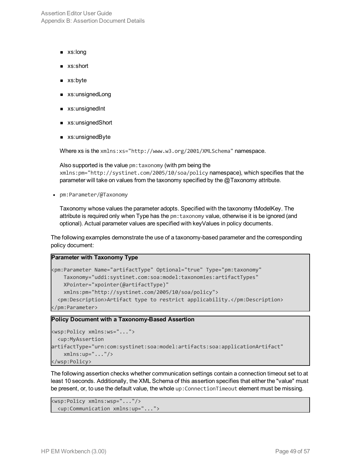Assertion Editor User Guide Appendix B: Assertion Document Details

- **xs:long**
- **xs:short**
- <sup>n</sup> xs:byte
- xs:unsignedLong
- xs:unsignedInt
- xs:unsignedShort
- $\blacksquare$  xs: unsigned Byte

Where xs is the xmlns:xs="http://www.w3.org/2001/XMLSchema" namespace.

Also supported is the value pm:taxonomy (with pm being the xmlns:pm="http://systinet.com/2005/10/soa/policy namespace), which specifies that the parameter will take on values from the taxonomy specified by the @Taxonomy attribute.

• pm:Parameter/@Taxonomy

Taxonomy whose values the parameter adopts. Specified with the taxonomy tModelKey. The attribute is required only when Type has the  $pm$ : taxonomy value, otherwise it is be ignored (and optional). Actual parameter values are specified with keyValues in policy documents.

The following examples demonstrate the use of a taxonomy-based parameter and the corresponding policy document:

#### **Parameter with Taxonomy Type**

```
<pm:Parameter Name="artifactType" Optional="true" Type="pm:taxonomy"
   Taxonomy="uddi:systinet.com:soa:model:taxonomies:artifactTypes"
   XPointer="xpointer(@artifactType)"
   xmlns:pm="http://systinet.com/2005/10/soa/policy">
  <pm:Description>Artifact type to restrict applicability.</pm:Description>
</pm:Parameter>
```
#### **Policy Document with a Taxonomy-Based Assertion**

```
<wsp:Policy xmlns:ws="...">
  <up:MyAssertion
artifactType="urn:com:systinet:soa:model:artifacts:soa:applicationArtifact"
    xmlns:up="..."/>
</wsp:Policy>
```
The following assertion checks whether communication settings contain a connection timeout set to at least 10 seconds. Additionally, the XML Schema of this assertion specifies that either the "value" must be present, or, to use the default value, the whole up:ConnectionTimeout element must be missing.

```
<wsp:Policy xmlns:wsp="..."/>
  <up:Communication xmlns:up="...">
```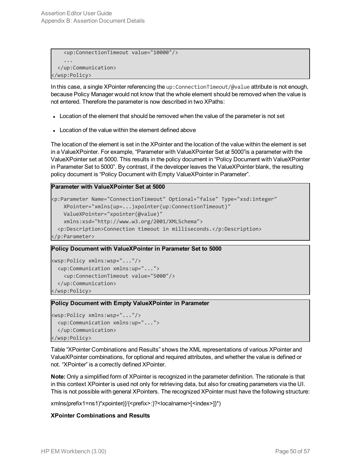```
<up:ConnectionTimeout value="10000"/>
    ...
  </up:Communication>
</wsp:Policy>
```
In this case, a single XPointer referencing the up: ConnectionTimeout/@value attribute is not enough, because Policy Manager would not know that the whole element should be removed when the value is not entered. Therefore the parameter is now described in two XPaths:

- Location of the element that should be removed when the value of the parameter is not set
- Location of the value within the element defined above

The location of the element is set in the XPointer and the location of the value within the element is set in a ValueXPointer. For example, "Parameter with ValueXPointer Set at 5000"is a parameter with the ValueXPointer set at 5000. This results in the policy document in "Policy Document with ValueXPointer in Parameter Set to 5000". By contrast, if the developer leaves the ValueXPointer blank, the resulting policy document is "Policy Document with Empty ValueXPointer in Parameter".

#### **Parameter with ValueXPointer Set at 5000**

```
<p:Parameter Name="ConnectionTimeout" Optional="false" Type="xsd:integer"
   XPointer="xmlns(up=...)xpointer(up:ConnectionTimeout)"
   ValueXPointer="xpointer(@value)"
   xmlns:xsd="http://www.w3.org/2001/XMLSchema">
 <p:Description>Connection timeout in milliseconds.</p:Description>
</p:Parameter>
```
#### **Policy Document with ValueXPointer in Parameter Set to 5000**

```
<wsp:Policy xmlns:wsp="..."/>
 <up:Communication xmlns:up="...">
   <up:ConnectionTimeout value="5000"/>
 </up:Communication>
</wsp:Policy>
```
#### **Policy Document with Empty ValueXPointer in Parameter**

```
<wsp:Policy xmlns:wsp="..."/>
  <up:Communication xmlns:up="...">
  </up:Communication>
</wsp:Policy>
```
Table "XPointer Combinations and Results" shows the XML representations of various XPointer and ValueXPointer combinations, for optional and required attributes, and whether the value is defined or not. "XPointer" is a correctly defined XPointer.

**Note:** Only a simplified form of XPointer is recognized in the parameter definition. The rationale is that in this context XPointer is used not only for retrieving data, but also for creating parameters via the UI. This is not possible with general XPointers. The recognized XPointer must have the following structure:

xmlns(prefix1=ns1)\*xpointer({/{<prefix>:}?<localname>[<index>]}\*)

#### **XPointer Combinations and Results**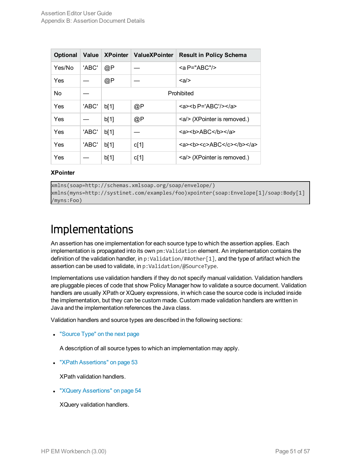| <b>Optional</b> | Value | <b>XPointer</b> | <b>ValueXPointer</b> | <b>Result in Policy Schema</b>         |
|-----------------|-------|-----------------|----------------------|----------------------------------------|
| Yes/No          | 'ABC' | @P              |                      | $<$ a P="ABC"/>                        |
| Yes             |       | @P              |                      | $\langle a \rangle$                    |
| No              |       |                 |                      | Prohibited                             |
| Yes             | 'ABC' | b[1]            | @P                   | $<$ a> $<$ b P='ABC'/> $<$ /a>         |
| Yes             |       | b[1]            | @P                   | <a></a> <a></a> (XPointer is removed.) |
| Yes             | 'ABC' | b[1]            |                      | <a><b>ABC</b></a>                      |
| Yes             | 'ABC' | b[1]            | c[1]                 | <a>22</a>                              |
| Yes             |       | b[1]            | c[1]                 | <a></a> (XPointer is removed.)         |

#### **XPointer**

```
xmlns(soap=http://schemas.xmlsoap.org/soap/envelope/)
xmlns(myns=http://systinet.com/examples/foo)xpointer(soap:Envelope[1]/soap:Body[1]
/myns:Foo)
```
### <span id="page-50-0"></span>Implementations

An assertion has one implementation for each source type to which the assertion applies. Each implementation is propagated into its own pm:Validation element. An implementation contains the definition of the validation handler, in  $p:V$ alidation/##other[1], and the type of artifact which the assertion can be used to validate, in p:Validation/@SourceType.

Implementations use validation handlers if they do not specify manual validation. Validation handlers are pluggable pieces of code that show Policy Manager how to validate a source document. Validation handlers are usually XPath or XQuery expressions, in which case the source code is included inside the implementation, but they can be custom made. Custom made validation handlers are written in Java and the implementation references the Java class.

Validation handlers and source types are described in the following sections:

• ["Source](#page-51-0) Type" on the next page

A description of all source types to which an implementation may apply.

• "XPath [Assertions"](#page-52-0) on page 53

XPath validation handlers.

• "XQuery [Assertions"](#page-53-0) on page 54

XQuery validation handlers.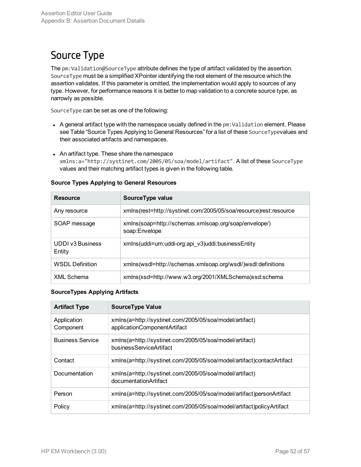### <span id="page-51-0"></span>Source Type

The pm:Validation@SourceType attribute defines the type of artifact validated by the assertion. SourceType must be a simplified XPointer identifying the root element of the resource which the assertion validates. If this parameter is omitted, the implementation would apply to sources of any type. However, for performance reasons it is better to map validation to a concrete source type, as narrowly as possible.

SourceType can be set as one of the following:

- A general artifact type with the namespace usually defined in the  $pm:Validation$  element. Please see Table "Source Types Applying to General Resources" for a list of these SourceTypevalues and their associated artifacts and namespaces.
- An artifact type. These share the namespace xmlns:a="http://systinet.com/2005/05/soa/model/artifact". A list of these SourceType values and their matching artifact types is given in the following table.

| <b>Resource</b>            | SourceType value                                                       |
|----------------------------|------------------------------------------------------------------------|
| Any resource               | xmlns(rest=http://systinet.com/2005/05/soa/resource)rest:resource      |
| SOAP message               | xmlns(soap=http://schemas.xmlsoap.org/soap/envelope/)<br>soap:Envelope |
| UDDI v3 Business<br>Entity | xmlns(uddi=urn:uddi-org:api_v3)uddi:businessEntity                     |
| <b>WSDL Definition</b>     | xmlns(wsdl=http://schemas.xmlsoap.org/wsdl/)wsdl:definitions           |
| <b>XML Schema</b>          | xmlns(xsd=http://www.w3.org/2001/XMLSchema)xsd:schema                  |

#### **Source Types Applying to General Resources**

#### **SourceTypes Applying Artifacts**

| <b>Artifact Type</b>     | <b>SourceType Value</b>                                                                 |
|--------------------------|-----------------------------------------------------------------------------------------|
| Application<br>Component | xmlns(a=http://systinet.com/2005/05/soa/model/artifact)<br>applicationComponentArtifact |
| <b>Business Service</b>  | xmlns(a=http://systinet.com/2005/05/soa/model/artifact)<br>businessServiceArtifact      |
| Contact                  | xmlns(a=http://systinet.com/2005/05/soa/model/artifact)contactArtifact                  |
| Documentation            | xmlns(a=http://systinet.com/2005/05/soa/model/artifact)<br>documentationArtifact        |
| Person                   | xmlns(a=http://systinet.com/2005/05/soa/model/artifact)personArtifact                   |
| Policy                   | xmlns(a=http://systinet.com/2005/05/soa/model/artifact)policyArtifact                   |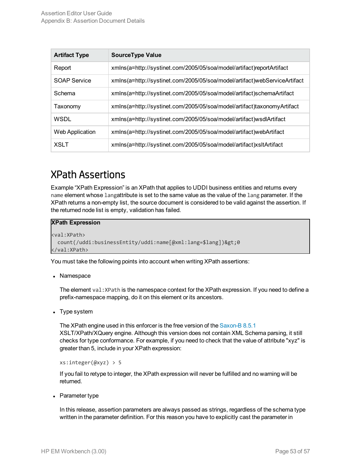| <b>Artifact Type</b>   | <b>SourceType Value</b>                                                   |
|------------------------|---------------------------------------------------------------------------|
| Report                 | xmlns(a=http://systinet.com/2005/05/soa/model/artifact)reportArtifact     |
| <b>SOAP Service</b>    | xmlns(a=http://systinet.com/2005/05/soa/model/artifact)webServiceArtifact |
| Schema                 | xmlns(a=http://systinet.com/2005/05/soa/model/artifact)schemaArtifact     |
| Taxonomy               | xmlns(a=http://systinet.com/2005/05/soa/model/artifact)taxonomyArtifact   |
| WSDL                   | xmlns(a=http://systinet.com/2005/05/soa/model/artifact)wsdlArtifact       |
| <b>Web Application</b> | xmlns(a=http://systinet.com/2005/05/soa/model/artifact)webArtifact        |
| <b>XSLT</b>            | xmlns(a=http://systinet.com/2005/05/soa/model/artifact)xsltArtifact       |

### <span id="page-52-0"></span>XPath Assertions

Example "XPath Expression" is an XPath that applies to UDDI business entities and returns every name element whose langattribute is set to the same value as the value of the lang parameter. If the XPath returns a non-empty list, the source document is considered to be valid against the assertion. If the returned node list is empty, validation has failed.

#### **XPath Expression**

```
<val:XPath>
 count(/uddi:businessEntity/uddi:name[@xml:lang=$lang])>0
</val:XPath>
```
You must take the following points into account when writing XPath assertions:

• Namespace

The element val:XPath is the namespace context for the XPath expression. If you need to define a prefix-namespace mapping, do it on this element or its ancestors.

• Type system

The XPath engine used in this enforcer is the free version of the [Saxon-B](http://www.saxonica.com/) 8.5.1 XSLT/XPath/XQuery engine. Although this version does not contain XML Schema parsing, it still checks for type conformance. For example, if you need to check that the value of attribute "xyz" is greater than 5, include in your XPath expression:

xs:integer(@xyz) > 5

If you fail to retype to integer, the XPath expression will never be fulfilled and no warning will be returned.

• Parameter type

In this release, assertion parameters are always passed as strings, regardless of the schema type written in the parameter definition. For this reason you have to explicitly cast the parameter in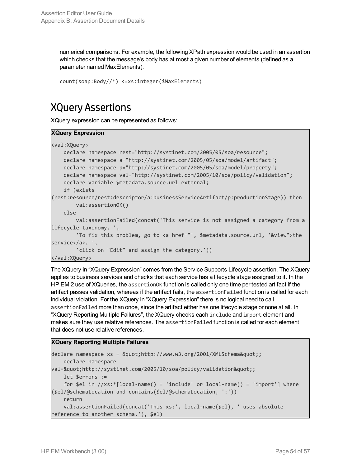numerical comparisons. For example, the following XPath expression would be used in an assertion which checks that the message's body has at most a given number of elements (defined as a parameter named MaxElements):

```
count(soap:Body//*) <=xs:integer($MaxElements)
```
### <span id="page-53-0"></span>XQuery Assertions

XQuery expression can be represented as follows:

#### **XQuery Expression**

```
<val:XQuery>
    declare namespace rest="http://systinet.com/2005/05/soa/resource";
    declare namespace a="http://systinet.com/2005/05/soa/model/artifact";
    declare namespace p="http://systinet.com/2005/05/soa/model/property";
    declare namespace val="http://systinet.com/2005/10/soa/policy/validation";
    declare variable $metadata.source.url external;
    if (exists
(rest:resource/rest:descriptor/a:businessServiceArtifact/p:productionStage)) then
        val:assertionOK()
    else
        val:assertionFailed(concat('This service is not assigned a category from a
lifecycle taxonomy. ',
        'To fix this problem, go to <a href="', $metadata.source.url, '&view">the
service</a>, ',
        'click on "Edit" and assign the category.'))
</val:XQuery>
```
The XQuery in "XQuery Expression" comes from the Service Supports Lifecycle assertion. The XQuery applies to business services and checks that each service has a lifecycle stage assigned to it. In the HP EM 2 use of XQueries, the assertionOK function is called only one time per tested artifact if the artifact passes validation, whereas if the artifact fails, the assertionFailed function is called for each individual violation. For the XQuery in "XQuery Expression" there is no logical need to call assertionFailed more than once, since the artifact either has one lifecycle stage or none at all. In "XQuery Reporting Multiple Failures", the XQuery checks each include and import element and makes sure they use relative references. The assertionFailed function is called for each element that does not use relative references.

#### **XQuery Reporting Multiple Failures**

```
declare namespace xs = &quot;http://www.w3.org/2001/XMLSchema";
   declare namespace
val="http://systinet.com/2005/10/soa/policy/validation";
   let $errors :=
   for $el in //xs:*[local-name() = 'include' or local-name() = 'import'] where
($el/@schemaLocation and contains($el/@schemaLocation, ':'))
   return
    val:assertionFailed(concat('This xs:', local-name($el), ' uses absolute
reference to another schema.'), $el)
```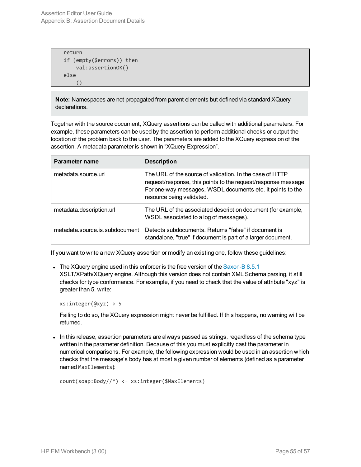```
return
if (empty($errors)) then
    val:assertionOK()
else
    ()
```
**Note:** Namespaces are not propagated from parent elements but defined via standard XQuery declarations.

Together with the source document, XQuery assertions can be called with additional parameters. For example, these parameters can be used by the assertion to perform additional checks or output the location of the problem back to the user. The parameters are added to the XQuery expression of the assertion. A metadata parameter is shown in "XQuery Expression".

| <b>Parameter name</b>          | <b>Description</b>                                                                                                                                                                                                    |
|--------------------------------|-----------------------------------------------------------------------------------------------------------------------------------------------------------------------------------------------------------------------|
| metadata source url            | The URL of the source of validation. In the case of HTTP<br>request/response, this points to the request/response message.<br>For one-way messages, WSDL documents etc. it points to the<br>resource being validated. |
| metadata.description.url       | The URL of the associated description document (for example,<br>WSDL associated to a log of messages).                                                                                                                |
| metadata source is subdocument | Detects subdocuments. Returns "false" if document is<br>standalone, "true" if document is part of a larger document.                                                                                                  |

If you want to write a new XQuery assertion or modify an existing one, follow these guidelines:

The XQuery engine used in this enforcer is the free version of the [Saxon-B](http://www.saxonica.com/) 8.5.1 XSLT/XPath/XQuery engine. Although this version does not contain XML Schema parsing, it still checks for type conformance. For example, if you need to check that the value of attribute "xyz" is greater than 5, write:

```
xs:integer(@xyz) > 5
```
Failing to do so, the XQuery expression might never be fulfilled. If this happens, no warning will be returned.

In this release, assertion parameters are always passed as strings, regardless of the schema type written in the parameter definition. Because of this you must explicitly cast the parameter in numerical comparisons. For example, the following expression would be used in an assertion which checks that the message's body has at most a given number of elements (defined as a parameter named MaxElements):

```
count(soap:Body//*) <= xs:integer($MaxElements)
```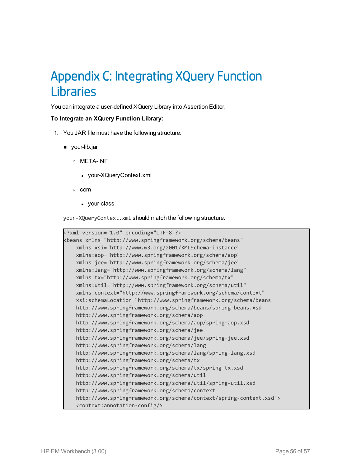# <span id="page-55-0"></span>Appendix C: Integrating XQuery Function Libraries

You can integrate a user-defined XQuery Library into Assertion Editor.

#### **To Integrate an XQuery Function Library:**

- 1. You JAR file must have the following structure:
	- vour-lib.jar
		- <sup>o</sup> META-INF
			- your-XQueryContext.xml
		- <sup>o</sup> com
			- your-class

your-XQueryContext.xml should match the following structure:

```
<?xml version="1.0" encoding="UTF-8"?>
<beans xmlns="http://www.springframework.org/schema/beans"
   xmlns:xsi="http://www.w3.org/2001/XMLSchema-instance"
   xmlns:aop="http://www.springframework.org/schema/aop"
   xmlns:jee="http://www.springframework.org/schema/jee"
   xmlns:lang="http://www.springframework.org/schema/lang"
   xmlns:tx="http://www.springframework.org/schema/tx"
   xmlns:util="http://www.springframework.org/schema/util"
   xmlns:context="http://www.springframework.org/schema/context"
   xsi:schemaLocation="http://www.springframework.org/schema/beans
   http://www.springframework.org/schema/beans/spring-beans.xsd
   http://www.springframework.org/schema/aop
   http://www.springframework.org/schema/aop/spring-aop.xsd
   http://www.springframework.org/schema/jee
   http://www.springframework.org/schema/jee/spring-jee.xsd
   http://www.springframework.org/schema/lang
   http://www.springframework.org/schema/lang/spring-lang.xsd
   http://www.springframework.org/schema/tx
   http://www.springframework.org/schema/tx/spring-tx.xsd
   http://www.springframework.org/schema/util
   http://www.springframework.org/schema/util/spring-util.xsd
   http://www.springframework.org/schema/context
   http://www.springframework.org/schema/context/spring-context.xsd">
   <context:annotation-config/>
```